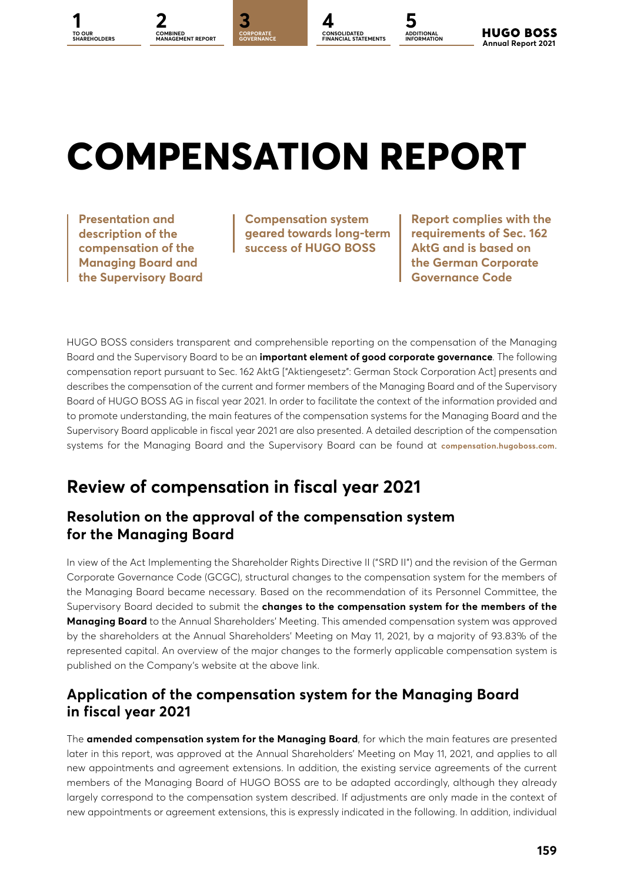# **COMPENSATION REPORT**

**1 2 [3](#page--1-0) [4](#page--1-0) [5](#page--1-0) CORPORATE GOVERNANCE**

**COMBINED [MANAGEMENT REPORT](#page--1-0)**

**Presentation and description of the compensation of the Managing Board and the Supervisory Board**

**TO OUR** 

**Compensation system geared towards long-term success of HUGO BOSS**

**CONSOLIDATED FINANCIAL STATEMENTS**

**ADDITIONAL INFORMATION**

**Report complies with the requirements of Sec. 162 AktG and is based on the German Corporate Governance Code**

**[SHAREHOLDERS](#page--1-0) Annual Report 2021**

**HUGO BOSS** 

HUGO BOSS considers transparent and comprehensible reporting on the compensation of the Managing Board and the Supervisory Board to be an **important element of good corporate governance**. The following compensation report pursuant to Sec. 162 AktG ["Aktiengesetz": German Stock Corporation Act] presents and describes the compensation of the current and former members of the Managing Board and of the Supervisory Board of HUGO BOSS AG in fiscal year 2021. In order to facilitate the context of the information provided and to promote understanding, the main features of the compensation systems for the Managing Board and the Supervisory Board applicable in fiscal year 2021 are also presented. A detailed description of the compensation systems for the Managing Board and the Supervisory Board can be found at **[compensation.hugoboss.com](http://compensation.hugoboss.com)**.

### **Review of compensation in fiscal year 2021**

### **Resolution on the approval of the compensation system for the Managing Board**

In view of the Act Implementing the Shareholder Rights Directive II ("SRD II") and the revision of the German Corporate Governance Code (GCGC), structural changes to the compensation system for the members of the Managing Board became necessary. Based on the recommendation of its Personnel Committee, the Supervisory Board decided to submit the **changes to the compensation system for the members of the Managing Board** to the Annual Shareholders' Meeting. This amended compensation system was approved by the shareholders at the Annual Shareholders' Meeting on May 11, 2021, by a majority of 93.83% of the represented capital. An overview of the major changes to the formerly applicable compensation system is published on the Company's website at the above link.

### **Application of the compensation system for the Managing Board in fiscal year 2021**

The **amended compensation system for the Managing Board**, for which the main features are presented later in this report, was approved at the Annual Shareholders' Meeting on May 11, 2021, and applies to all new appointments and agreement extensions. In addition, the existing service agreements of the current members of the Managing Board of HUGO BOSS are to be adapted accordingly, although they already largely correspond to the compensation system described. If adjustments are only made in the context of new appointments or agreement extensions, this is expressly indicated in the following. In addition, individual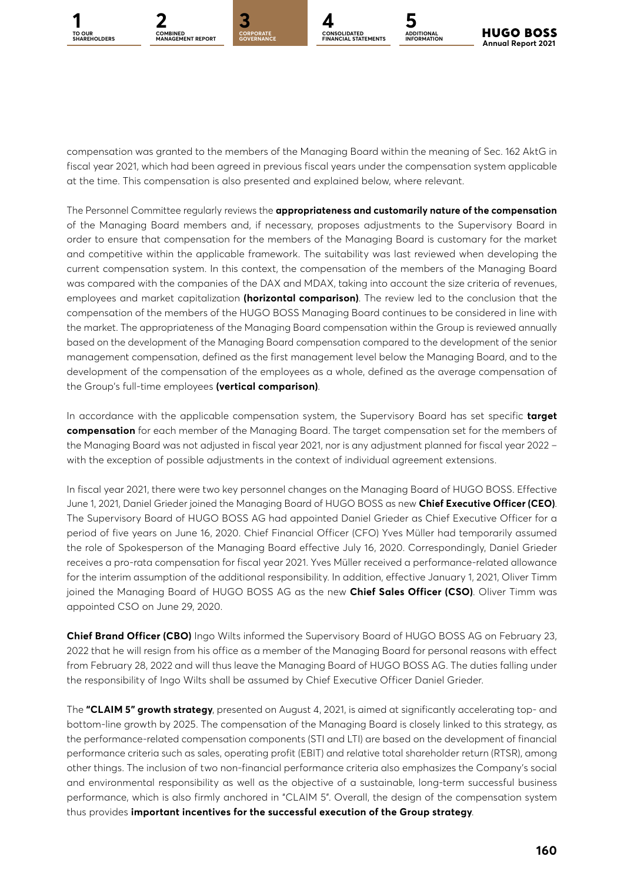

**GOVERNANCE**



**ADDITIONAL INFORMATION**

compensation was granted to the members of the Managing Board within the meaning of Sec. 162 AktG in fiscal year 2021, which had been agreed in previous fiscal years under the compensation system applicable at the time. This compensation is also presented and explained below, where relevant.

The Personnel Committee regularly reviews the **appropriateness and customarily nature of the compensation** of the Managing Board members and, if necessary, proposes adjustments to the Supervisory Board in order to ensure that compensation for the members of the Managing Board is customary for the market and competitive within the applicable framework. The suitability was last reviewed when developing the current compensation system. In this context, the compensation of the members of the Managing Board was compared with the companies of the DAX and MDAX, taking into account the size criteria of revenues, employees and market capitalization **(horizontal comparison)**. The review led to the conclusion that the compensation of the members of the HUGO BOSS Managing Board continues to be considered in line with the market. The appropriateness of the Managing Board compensation within the Group is reviewed annually based on the development of the Managing Board compensation compared to the development of the senior management compensation, defined as the first management level below the Managing Board, and to the development of the compensation of the employees as a whole, defined as the average compensation of the Group's full-time employees **(vertical comparison)**.

In accordance with the applicable compensation system, the Supervisory Board has set specific **target compensation** for each member of the Managing Board. The target compensation set for the members of the Managing Board was not adjusted in fiscal year 2021, nor is any adjustment planned for fiscal year 2022 – with the exception of possible adjustments in the context of individual agreement extensions.

In fiscal year 2021, there were two key personnel changes on the Managing Board of HUGO BOSS. Effective June 1, 2021, Daniel Grieder joined the Managing Board of HUGO BOSS as new **Chief Executive Officer (CEO)**. The Supervisory Board of HUGO BOSS AG had appointed Daniel Grieder as Chief Executive Officer for a period of five years on June 16, 2020. Chief Financial Officer (CFO) Yves Müller had temporarily assumed the role of Spokesperson of the Managing Board effective July 16, 2020. Correspondingly, Daniel Grieder receives a pro-rata compensation for fiscal year 2021. Yves Müller received a performance-related allowance for the interim assumption of the additional responsibility. In addition, effective January 1, 2021, Oliver Timm joined the Managing Board of HUGO BOSS AG as the new **Chief Sales Officer (CSO)**. Oliver Timm was appointed CSO on June 29, 2020.

**Chief Brand Officer (CBO)** Ingo Wilts informed the Supervisory Board of HUGO BOSS AG on February 23, 2022 that he will resign from his office as a member of the Managing Board for personal reasons with effect from February 28, 2022 and will thus leave the Managing Board of HUGO BOSS AG. The duties falling under the responsibility of Ingo Wilts shall be assumed by Chief Executive Officer Daniel Grieder.

The **"CLAIM 5" growth strategy**, presented on August 4, 2021, is aimed at significantly accelerating top- and bottom-line growth by 2025. The compensation of the Managing Board is closely linked to this strategy, as the performance-related compensation components (STI and LTI) are based on the development of financial performance criteria such as sales, operating profit (EBIT) and relative total shareholder return (RTSR), among other things. The inclusion of two non-financial performance criteria also emphasizes the Company's social and environmental responsibility as well as the objective of a sustainable, long-term successful business performance, which is also firmly anchored in "CLAIM 5". Overall, the design of the compensation system thus provides **important incentives for the successful execution of the Group strategy**.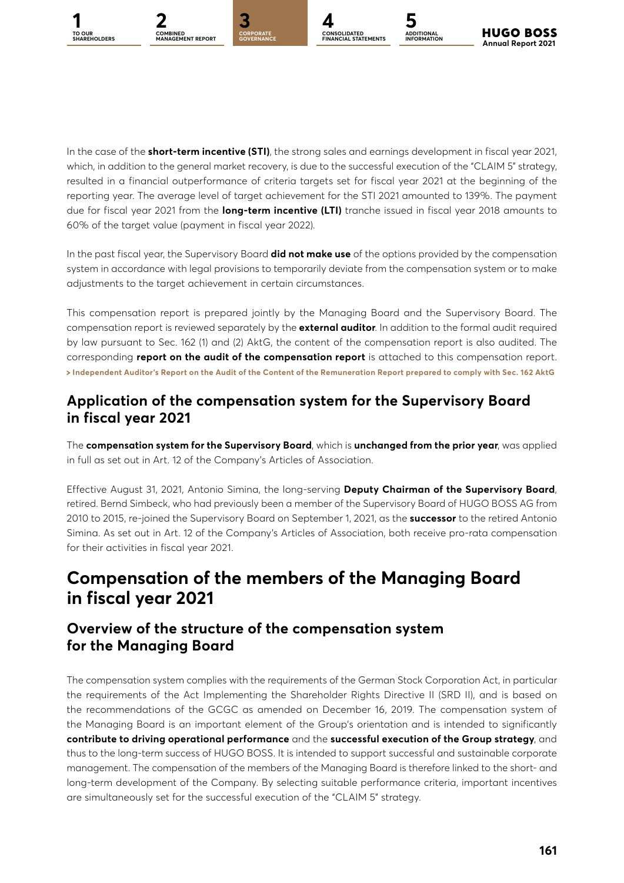



**GOVERNANCE**



**ADDITIONAL INFORMATION**

In the case of the **short-term incentive (STI)**, the strong sales and earnings development in fiscal year 2021, which, in addition to the general market recovery, is due to the successful execution of the "CLAIM 5" strategy, resulted in a financial outperformance of criteria targets set for fiscal year 2021 at the beginning of the reporting year. The average level of target achievement for the STI 2021 amounted to 139%. The payment due for fiscal year 2021 from the **long-term incentive (LTI)** tranche issued in fiscal year 2018 amounts to 60% of the target value (payment in fiscal year 2022).

In the past fiscal year, the Supervisory Board **did not make use** of the options provided by the compensation system in accordance with legal provisions to temporarily deviate from the compensation system or to make adjustments to the target achievement in certain circumstances.

This compensation report is prepared jointly by the Managing Board and the Supervisory Board. The compensation report is reviewed separately by the **external auditor**. In addition to the formal audit required by law pursuant to Sec. 162 (1) and (2) AktG, the content of the compensation report is also audited. The corresponding **report on the audit of the compensation report** is attached to this compensation report. **[Independent Auditor's Report on the Audit of the Content of the Remuneration Report prepared to comply with Sec.](#page--1-0) 162 AktG**

### **Application of the compensation system for the Supervisory Board in fiscal year 2021**

The **compensation system for the Supervisory Board**, which is **unchanged from the prior year**, was applied in full as set out in Art. 12 of the Company's Articles of Association.

Effective August 31, 2021, Antonio Simina, the long-serving **Deputy Chairman of the Supervisory Board**, retired. Bernd Simbeck, who had previously been a member of the Supervisory Board of HUGO BOSS AG from 2010 to 2015, re-joined the Supervisory Board on September 1, 2021, as the **successor** to the retired Antonio Simina. As set out in Art. 12 of the Company's Articles of Association, both receive pro-rata compensation for their activities in fiscal year 2021.

### **Compensation of the members of the Managing Board in fiscal year 2021**

### **Overview of the structure of the compensation system for the Managing Board**

The compensation system complies with the requirements of the German Stock Corporation Act, in particular the requirements of the Act Implementing the Shareholder Rights Directive II (SRD II), and is based on the recommendations of the GCGC as amended on December 16, 2019. The compensation system of the Managing Board is an important element of the Group's orientation and is intended to significantly **contribute to driving operational performance** and the **successful execution of the Group strategy**, and thus to the long-term success of HUGO BOSS. It is intended to support successful and sustainable corporate management. The compensation of the members of the Managing Board is therefore linked to the short- and long-term development of the Company. By selecting suitable performance criteria, important incentives are simultaneously set for the successful execution of the "CLAIM 5" strategy.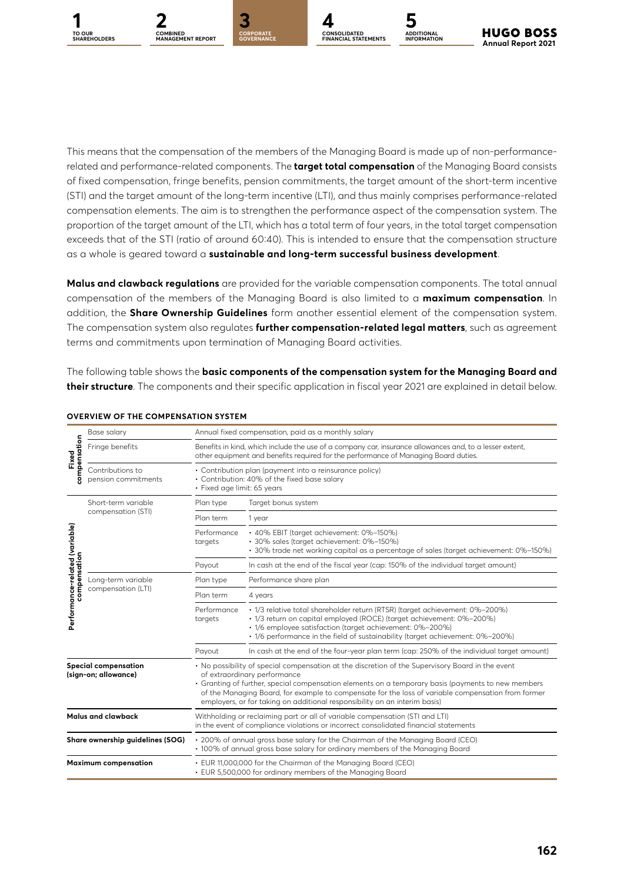





This means that the compensation of the members of the Managing Board is made up of non-performancerelated and performance-related components. The **target total compensation** of the Managing Board consists of fixed compensation, fringe benefits, pension commitments, the target amount of the short-term incentive (STI) and the target amount of the long-term incentive (LTI), and thus mainly comprises performance-related compensation elements. The aim is to strengthen the performance aspect of the compensation system. The proportion of the target amount of the LTI, which has a total term of four years, in the total target compensation exceeds that of the STI (ratio of around 60:40). This is intended to ensure that the compensation structure as a whole is geared toward a **sustainable and long-term successful business development**.

**Malus and clawback regulations** are provided for the variable compensation components. The total annual compensation of the members of the Managing Board is also limited to a **maximum compensation**. In addition, the **Share Ownership Guidelines** form another essential element of the compensation system. The compensation system also regulates **further compensation-related legal matters**, such as agreement terms and commitments upon termination of Managing Board activities.

The following table shows the **basic components of the compensation system for the Managing Board and their structure**. The components and their specific application in fiscal year 2021 are explained in detail below.

| compensation<br>Fixed                          | Base salary                                         | Annual fixed compensation, paid as a monthly salary                                                                                                                                            |                                                                                                                                                                                                                                                                                                                                                                                                                            |  |  |  |  |  |  |
|------------------------------------------------|-----------------------------------------------------|------------------------------------------------------------------------------------------------------------------------------------------------------------------------------------------------|----------------------------------------------------------------------------------------------------------------------------------------------------------------------------------------------------------------------------------------------------------------------------------------------------------------------------------------------------------------------------------------------------------------------------|--|--|--|--|--|--|
|                                                | Fringe benefits                                     | Benefits in kind, which include the use of a company car, insurance allowances and, to a lesser extent,<br>other equipment and benefits required for the performance of Managing Board duties. |                                                                                                                                                                                                                                                                                                                                                                                                                            |  |  |  |  |  |  |
|                                                | Contributions to<br>pension commitments             | · Fixed age limit: 65 years                                                                                                                                                                    | • Contribution plan (payment into a reinsurance policy)<br>• Contribution: 40% of the fixed base salary                                                                                                                                                                                                                                                                                                                    |  |  |  |  |  |  |
|                                                | Short-term variable                                 | Plan type                                                                                                                                                                                      | Target bonus system                                                                                                                                                                                                                                                                                                                                                                                                        |  |  |  |  |  |  |
|                                                | compensation (STI)                                  | Plan term                                                                                                                                                                                      | 1 year                                                                                                                                                                                                                                                                                                                                                                                                                     |  |  |  |  |  |  |
| Performance-related (variable)<br>compensation |                                                     | Performance<br>targets                                                                                                                                                                         | · 40% EBIT (target achievement: 0%-150%)<br>· 30% sales (target achievement: 0%-150%)<br>· 30% trade net working capital as a percentage of sales (target achievement: 0%-150%)                                                                                                                                                                                                                                            |  |  |  |  |  |  |
|                                                |                                                     | Payout                                                                                                                                                                                         | In cash at the end of the fiscal year (cap: 150% of the individual target amount)                                                                                                                                                                                                                                                                                                                                          |  |  |  |  |  |  |
|                                                | Long-term variable<br>compensation (LTI)            | Plan type                                                                                                                                                                                      | Performance share plan                                                                                                                                                                                                                                                                                                                                                                                                     |  |  |  |  |  |  |
|                                                |                                                     | Plan term                                                                                                                                                                                      | 4 years                                                                                                                                                                                                                                                                                                                                                                                                                    |  |  |  |  |  |  |
|                                                |                                                     | Performance<br>targets                                                                                                                                                                         | · 1/3 relative total shareholder return (RTSR) (target achievement: 0%-200%)<br>· 1/3 return on capital employed (ROCE) (target achievement: 0%-200%)<br>· 1/6 employee satisfaction (target achievement: 0%-200%)<br>• 1/6 performance in the field of sustainability (target achievement: 0%-200%)                                                                                                                       |  |  |  |  |  |  |
|                                                |                                                     | Payout                                                                                                                                                                                         | In cash at the end of the four-year plan term (cap: 250% of the individual target amount)                                                                                                                                                                                                                                                                                                                                  |  |  |  |  |  |  |
|                                                | <b>Special compensation</b><br>(sign-on; allowance) |                                                                                                                                                                                                | • No possibility of special compensation at the discretion of the Supervisory Board in the event<br>of extraordinary performance<br>• Granting of further, special compensation elements on a temporary basis (payments to new members<br>of the Managing Board, for example to compensate for the loss of variable compensation from former<br>employers, or for taking on additional responsibility on an interim basis) |  |  |  |  |  |  |
|                                                | <b>Malus and clawback</b>                           | Withholding or reclaiming part or all of variable compensation (STI and LTI)<br>in the event of compliance violations or incorrect consolidated financial statements                           |                                                                                                                                                                                                                                                                                                                                                                                                                            |  |  |  |  |  |  |
|                                                | Share ownership quidelines (SOG)                    | • 200% of annual gross base salary for the Chairman of the Managing Board (CEO)<br>• 100% of annual gross base salary for ordinary members of the Managing Board                               |                                                                                                                                                                                                                                                                                                                                                                                                                            |  |  |  |  |  |  |
|                                                | <b>Maximum compensation</b>                         |                                                                                                                                                                                                | • EUR 11,000,000 for the Chairman of the Managing Board (CEO)<br>• EUR 5,500,000 for ordinary members of the Managing Board                                                                                                                                                                                                                                                                                                |  |  |  |  |  |  |

#### **OVERVIEW OF THE COMPENSATION SYSTEM**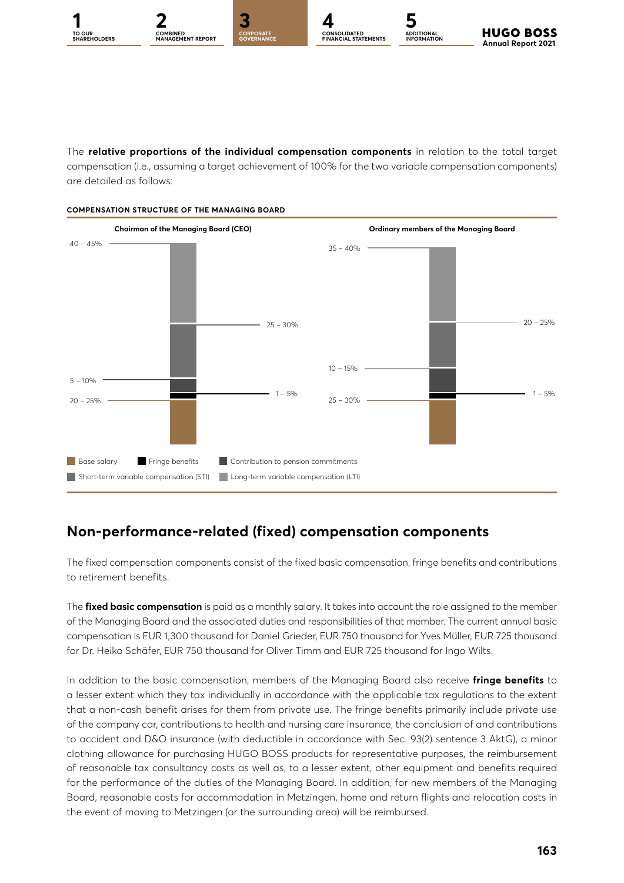

**ADDITIONAL INFORMATION**

The **relative proportions of the individual compensation components** in relation to the total target compensation (i.e., assuming a target achievement of 100% for the two variable compensation components) are detailed as follows:



### **Non-performance-related (fixed) compensation components**

The fixed compensation components consist of the fixed basic compensation, fringe benefits and contributions to retirement benefits.

The **fixed basic compensation** is paid as a monthly salary. It takes into account the role assigned to the member of the Managing Board and the associated duties and responsibilities of that member. The current annual basic compensation is EUR 1,300 thousand for Daniel Grieder, EUR 750 thousand for Yves Müller, EUR 725 thousand for Dr. Heiko Schäfer, EUR 750 thousand for Oliver Timm and EUR 725 thousand for Ingo Wilts.

In addition to the basic compensation, members of the Managing Board also receive **fringe benefits** to a lesser extent which they tax individually in accordance with the applicable tax regulations to the extent that a non-cash benefit arises for them from private use. The fringe benefits primarily include private use of the company car, contributions to health and nursing care insurance, the conclusion of and contributions to accident and D&O insurance (with deductible in accordance with Sec. 93(2) sentence 3 AktG), a minor clothing allowance for purchasing HUGO BOSS products for representative purposes, the reimbursement of reasonable tax consultancy costs as well as, to a lesser extent, other equipment and benefits required for the performance of the duties of the Managing Board. In addition, for new members of the Managing Board, reasonable costs for accommodation in Metzingen, home and return flights and relocation costs in the event of moving to Metzingen (or the surrounding area) will be reimbursed.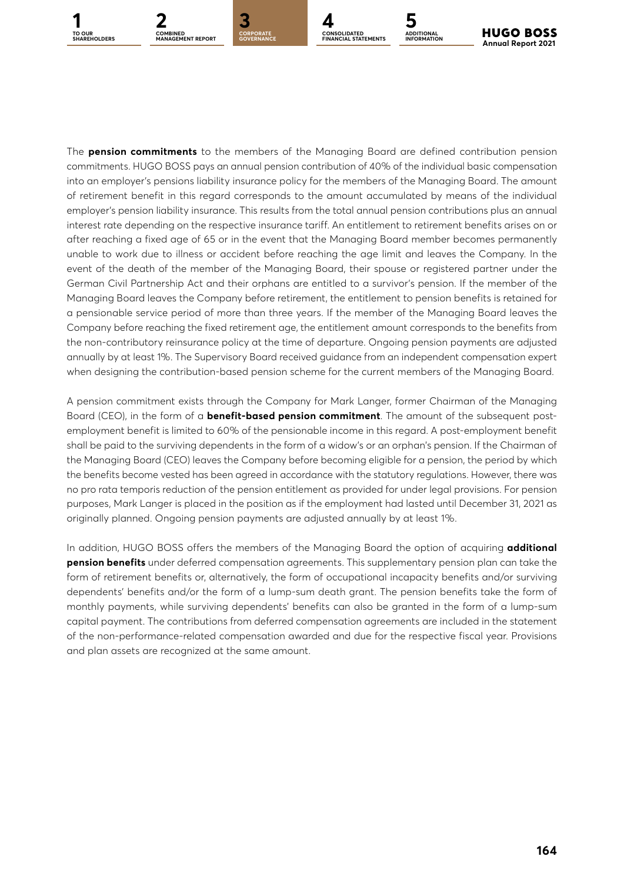



**GOVERNANCE**



**ADDITIONAL INFORMATION**

The **pension commitments** to the members of the Managing Board are defined contribution pension commitments. HUGO BOSS pays an annual pension contribution of 40% of the individual basic compensation into an employer's pensions liability insurance policy for the members of the Managing Board. The amount of retirement benefit in this regard corresponds to the amount accumulated by means of the individual employer's pension liability insurance. This results from the total annual pension contributions plus an annual interest rate depending on the respective insurance tariff. An entitlement to retirement benefits arises on or after reaching a fixed age of 65 or in the event that the Managing Board member becomes permanently unable to work due to illness or accident before reaching the age limit and leaves the Company. In the event of the death of the member of the Managing Board, their spouse or registered partner under the German Civil Partnership Act and their orphans are entitled to a survivor's pension. If the member of the Managing Board leaves the Company before retirement, the entitlement to pension benefits is retained for a pensionable service period of more than three years. If the member of the Managing Board leaves the Company before reaching the fixed retirement age, the entitlement amount corresponds to the benefits from the non-contributory reinsurance policy at the time of departure. Ongoing pension payments are adjusted annually by at least 1%. The Supervisory Board received guidance from an independent compensation expert when designing the contribution-based pension scheme for the current members of the Managing Board.

A pension commitment exists through the Company for Mark Langer, former Chairman of the Managing Board (CEO), in the form of a **benefit-based pension commitment**. The amount of the subsequent postemployment benefit is limited to 60% of the pensionable income in this regard. A post-employment benefit shall be paid to the surviving dependents in the form of a widow's or an orphan's pension. If the Chairman of the Managing Board (CEO) leaves the Company before becoming eligible for a pension, the period by which the benefits become vested has been agreed in accordance with the statutory regulations. However, there was no pro rata temporis reduction of the pension entitlement as provided for under legal provisions. For pension purposes, Mark Langer is placed in the position as if the employment had lasted until December 31, 2021 as originally planned. Ongoing pension payments are adjusted annually by at least 1%.

In addition, HUGO BOSS offers the members of the Managing Board the option of acquiring **additional pension benefits** under deferred compensation agreements. This supplementary pension plan can take the form of retirement benefits or, alternatively, the form of occupational incapacity benefits and/or surviving dependents' benefits and/or the form of a lump-sum death grant. The pension benefits take the form of monthly payments, while surviving dependents' benefits can also be granted in the form of a lump-sum capital payment. The contributions from deferred compensation agreements are included in the statement of the non-performance-related compensation awarded and due for the respective fiscal year. Provisions and plan assets are recognized at the same amount.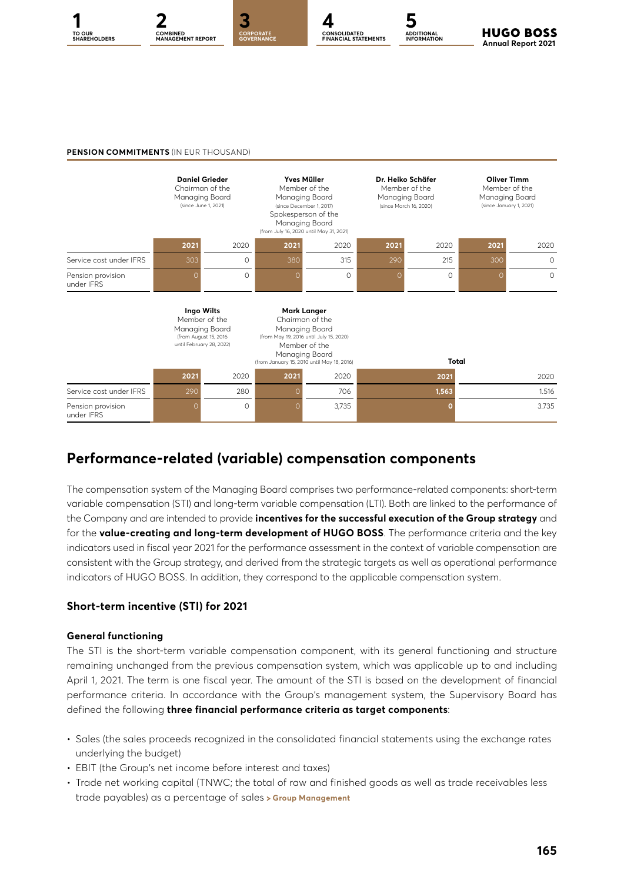



**CONSOLIDATED FINANCIAL STATEMENTS ADDITIONAL INFORMATION**

**HUGO BOSS Annual Report 2021** 

#### **PENSION COMMITMENTS** (IN FUR THOUSAND)



### **Performance-related (variable) compensation components**

The compensation system of the Managing Board comprises two performance-related components: short-term variable compensation (STI) and long-term variable compensation (LTI). Both are linked to the performance of the Company and are intended to provide **incentives for the successful execution of the Group strategy** and for the **value-creating and long-term development of HUGO BOSS**. The performance criteria and the key indicators used in fiscal year 2021 for the performance assessment in the context of variable compensation are consistent with the Group strategy, and derived from the strategic targets as well as operational performance indicators of HUGO BOSS. In addition, they correspond to the applicable compensation system.

#### **Short-term incentive (STI) for 2021**

#### **General functioning**

The STI is the short-term variable compensation component, with its general functioning and structure remaining unchanged from the previous compensation system, which was applicable up to and including April 1, 2021. The term is one fiscal year. The amount of the STI is based on the development of financial performance criteria. In accordance with the Group's management system, the Supervisory Board has defined the following **three financial performance criteria as target components**:

- Sales (the sales proceeds recognized in the consolidated financial statements using the exchange rates underlying the budget)
- EBIT (the Group's net income before interest and taxes)
- Trade net working capital (TNWC; the total of raw and finished goods as well as trade receivables less trade payables) as a percentage of sales **[Group Management](#page--1-0)**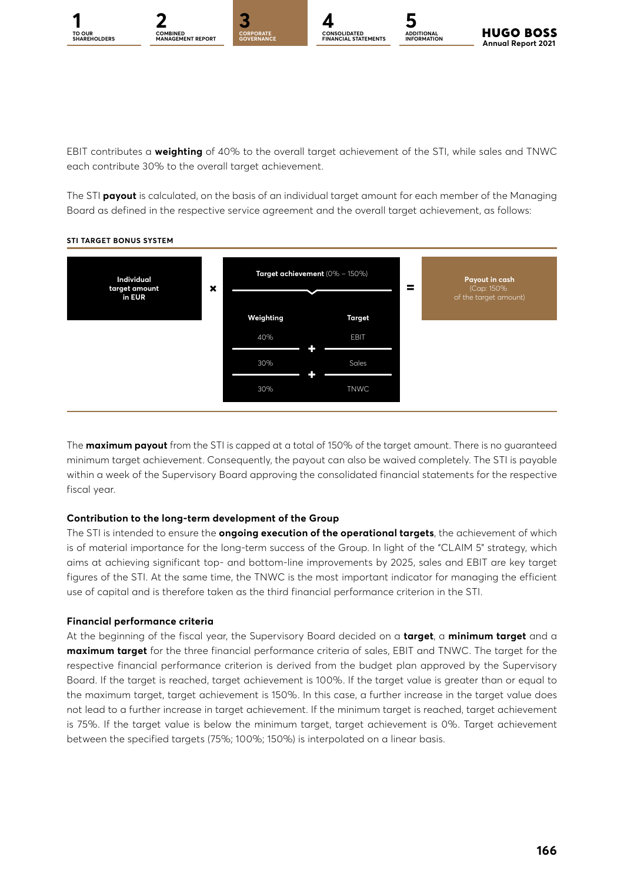





EBIT contributes a **weighting** of 40% to the overall target achievement of the STI, while sales and TNWC each contribute 30% to the overall target achievement.

The STI **payout** is calculated, on the basis of an individual target amount for each member of the Managing Board as defined in the respective service agreement and the overall target achievement, as follows:



#### **STI TARGET BONUS SYSTEM**

The **maximum payout** from the STI is capped at a total of 150% of the target amount. There is no guaranteed minimum target achievement. Consequently, the payout can also be waived completely. The STI is payable within a week of the Supervisory Board approving the consolidated financial statements for the respective fiscal year.

#### **Contribution to the long-term development of the Group**

The STI is intended to ensure the **ongoing execution of the operational targets**, the achievement of which is of material importance for the long-term success of the Group. In light of the "CLAIM 5" strategy, which aims at achieving significant top- and bottom-line improvements by 2025, sales and EBIT are key target figures of the STI. At the same time, the TNWC is the most important indicator for managing the efficient use of capital and is therefore taken as the third financial performance criterion in the STI.

#### **Financial performance criteria**

At the beginning of the fiscal year, the Supervisory Board decided on a **target**, a **minimum target** and a **maximum target** for the three financial performance criteria of sales, EBIT and TNWC. The target for the respective financial performance criterion is derived from the budget plan approved by the Supervisory Board. If the target is reached, target achievement is 100%. If the target value is greater than or equal to the maximum target, target achievement is 150%. In this case, a further increase in the target value does not lead to a further increase in target achievement. If the minimum target is reached, target achievement is 75%. If the target value is below the minimum target, target achievement is 0%. Target achievement between the specified targets (75%; 100%; 150%) is interpolated on a linear basis.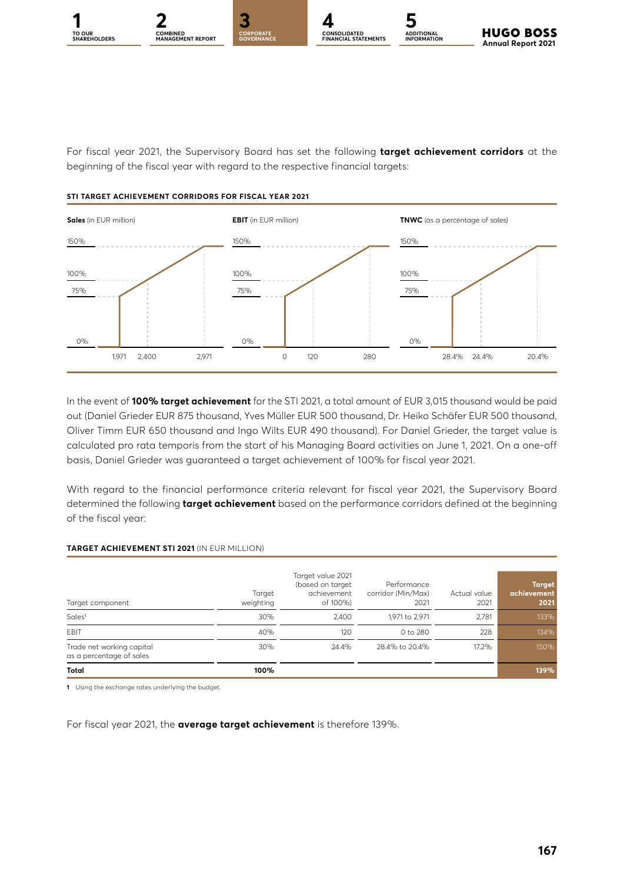

**CONSOLIDATED FINANCIAL STATEMENTS**



For fiscal year 2021, the Supervisory Board has set the following **target achievement corridors** at the beginning of the fiscal year with regard to the respective financial targets:

#### **STI TARGET ACHIEVEMENT CORRIDORS FOR FISCAL YEAR 2021**



In the event of **100% target achievement** for the STI 2021, a total amount of EUR 3,015 thousand would be paid out (Daniel Grieder EUR 875 thousand, Yves Müller EUR 500 thousand, Dr. Heiko Schäfer EUR 500 thousand, Oliver Timm EUR 650 thousand and Ingo Wilts EUR 490 thousand). For Daniel Grieder, the target value is calculated pro rata temporis from the start of his Managing Board activities on June 1, 2021. On a one-off basis, Daniel Grieder was guaranteed a target achievement of 100% for fiscal year 2021.

With regard to the financial performance criteria relevant for fiscal year 2021, the Supervisory Board determined the following **target achievement** based on the performance corridors defined at the beginning of the fiscal year:

#### **TARGET ACHIEVEMENT STI 2021** (IN EUR MILLION)

| Target component                                      | Target<br>weighting | Target value 2021<br>(based on target<br>achievement<br>of 100%) | Performance<br>corridor (Min/Max)<br>2021 | Actual value<br>2021 | <b>Target</b><br>achievement<br>2021 |
|-------------------------------------------------------|---------------------|------------------------------------------------------------------|-------------------------------------------|----------------------|--------------------------------------|
| Sales <sup>1</sup>                                    | 30%                 | 2.400                                                            | 1,971 to 2,971                            | 2.781                | 133%                                 |
| EBIT                                                  | 40%                 | 120                                                              | 0 to 280                                  | 228                  | 134%                                 |
| Trade net working capital<br>as a percentage of sales | 30%                 | 24.4%                                                            | 28.4% to 20.4%                            | 17.2%                | 150%                                 |
| Total                                                 | 100%                |                                                                  |                                           |                      | 139%                                 |

**1** Using the exchange rates underlying the budget.

For fiscal year 2021, the **average target achievement** is therefore 139%.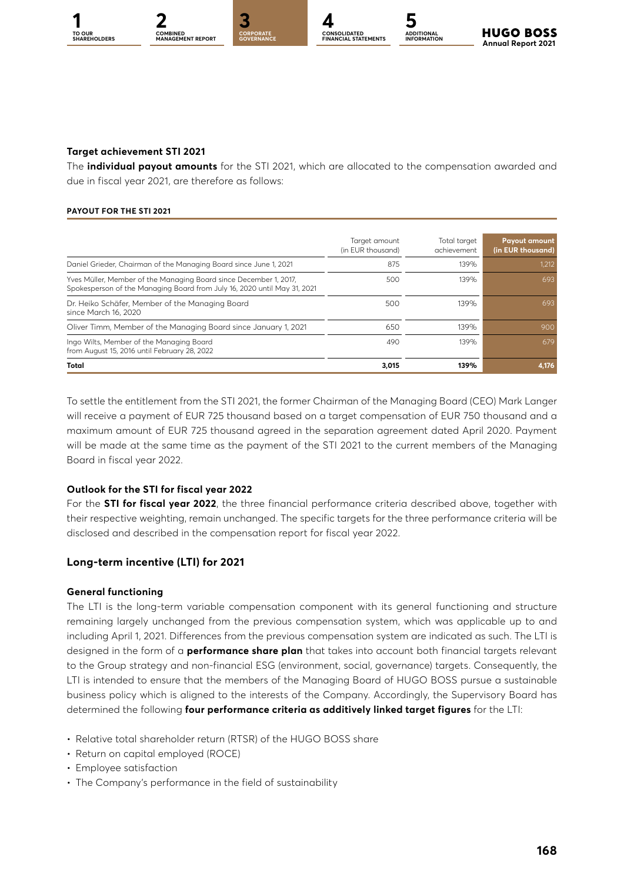**TO OUR** 



**GOVERNANCE**



#### **Target achievement STI 2021**

The **individual payout amounts** for the STI 2021, which are allocated to the compensation awarded and due in fiscal year 2021, are therefore as follows:

#### **PAYOUT FOR THE STI 2021**

|                                                                                                                                               | Target amount<br>(in EUR thousand) | Total target<br>achievement | <b>Payout amount</b><br>(in EUR thousand) |
|-----------------------------------------------------------------------------------------------------------------------------------------------|------------------------------------|-----------------------------|-------------------------------------------|
| Daniel Grieder, Chairman of the Managing Board since June 1, 2021                                                                             | 875                                | 139%                        | 1,212                                     |
| Yves Müller, Member of the Managing Board since December 1, 2017,<br>Spokesperson of the Managing Board from July 16, 2020 until May 31, 2021 | 500                                | 139%                        | 693                                       |
| Dr. Heiko Schäfer, Member of the Managing Board<br>since March 16, 2020                                                                       | 500                                | 139%                        | 693                                       |
| Oliver Timm, Member of the Managing Board since January 1, 2021                                                                               | 650                                | 139%                        | 900                                       |
| Ingo Wilts, Member of the Managing Board<br>from August 15, 2016 until February 28, 2022                                                      | 490                                | 139%                        | 679                                       |
| Total                                                                                                                                         | 3.015                              | 139%                        | 4,176                                     |

To settle the entitlement from the STI 2021, the former Chairman of the Managing Board (CEO) Mark Langer will receive a payment of EUR 725 thousand based on a target compensation of EUR 750 thousand and a maximum amount of EUR 725 thousand agreed in the separation agreement dated April 2020. Payment will be made at the same time as the payment of the STI 2021 to the current members of the Managing Board in fiscal year 2022.

#### **Outlook for the STI for fiscal year 2022**

For the **STI for fiscal year 2022**, the three financial performance criteria described above, together with their respective weighting, remain unchanged. The specific targets for the three performance criteria will be disclosed and described in the compensation report for fiscal year 2022.

#### **Long-term incentive (LTI) for 2021**

#### **General functioning**

The LTI is the long-term variable compensation component with its general functioning and structure remaining largely unchanged from the previous compensation system, which was applicable up to and including April 1, 2021. Differences from the previous compensation system are indicated as such. The LTI is designed in the form of a **performance share plan** that takes into account both financial targets relevant to the Group strategy and non-financial ESG (environment, social, governance) targets. Consequently, the LTI is intended to ensure that the members of the Managing Board of HUGO BOSS pursue a sustainable business policy which is aligned to the interests of the Company. Accordingly, the Supervisory Board has determined the following **four performance criteria as additively linked target figures** for the LTI:

- Relative total shareholder return (RTSR) of the HUGO BOSS share
- Return on capital employed (ROCE)
- Employee satisfaction
- The Company's performance in the field of sustainability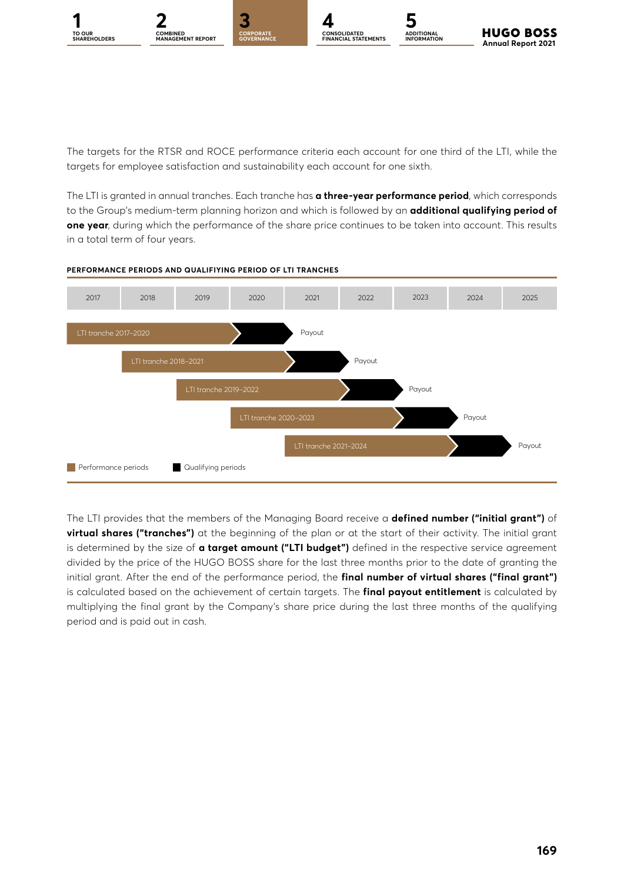**TO OUR** 



CORPORA<mark>TE</mark><br>GOVERNANCE



**ADDITIONAL INFORMATION**

**HUGO BOSS Annual Report 2021** 

The targets for the RTSR and ROCE performance criteria each account for one third of the LTI, while the targets for employee satisfaction and sustainability each account for one sixth.

The LTI is granted in annual tranches. Each tranche has **a three-year performance period**, which corresponds to the Group's medium-term planning horizon and which is followed by an **additional qualifying period of one year**, during which the performance of the share price continues to be taken into account. This results in a total term of four years.



#### **PERFORMANCE PERIODS AND QUALIFIYING PERIOD OF LTI TRANCHES**

The LTI provides that the members of the Managing Board receive a **defined number ("initial grant")** of **virtual shares ("tranches")** at the beginning of the plan or at the start of their activity. The initial grant is determined by the size of **a target amount ("LTI budget")** defined in the respective service agreement divided by the price of the HUGO BOSS share for the last three months prior to the date of granting the initial grant. After the end of the performance period, the **final number of virtual shares ("final grant")** is calculated based on the achievement of certain targets. The **final payout entitlement** is calculated by multiplying the final grant by the Company's share price during the last three months of the qualifying period and is paid out in cash.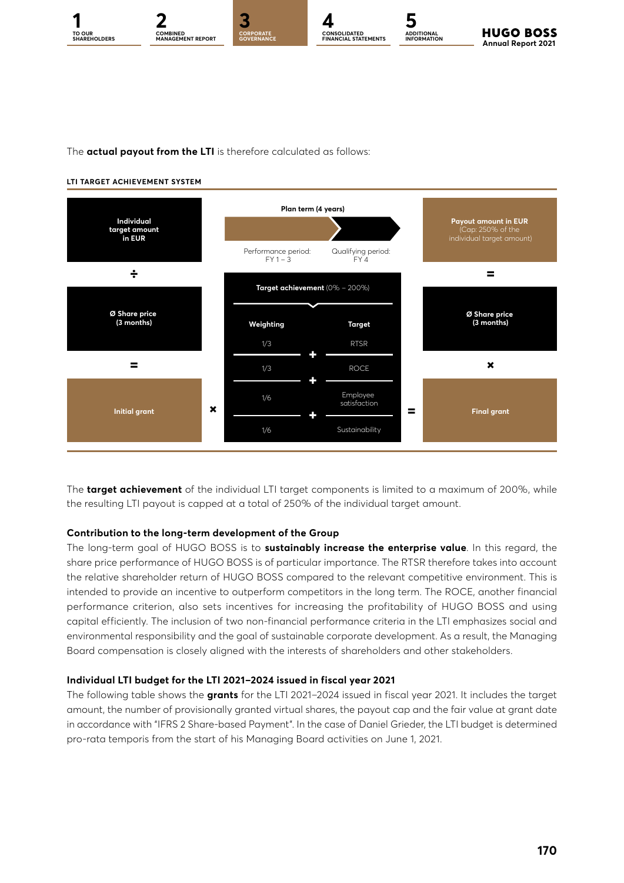



The **actual payout from the LTI** is therefore calculated as follows:

#### **LTI TARGET ACHIEVEMENT SYSTEM**



The **target achievement** of the individual LTI target components is limited to a maximum of 200%, while the resulting LTI payout is capped at a total of 250% of the individual target amount.

#### **Contribution to the long-term development of the Group**

The long-term goal of HUGO BOSS is to **sustainably increase the enterprise value**. In this regard, the share price performance of HUGO BOSS is of particular importance. The RTSR therefore takes into account the relative shareholder return of HUGO BOSS compared to the relevant competitive environment. This is intended to provide an incentive to outperform competitors in the long term. The ROCE, another financial performance criterion, also sets incentives for increasing the profitability of HUGO BOSS and using capital efficiently. The inclusion of two non-financial performance criteria in the LTI emphasizes social and environmental responsibility and the goal of sustainable corporate development. As a result, the Managing Board compensation is closely aligned with the interests of shareholders and other stakeholders.

#### **Individual LTI budget for the LTI 2021–2024 issued in fiscal year 2021**

The following table shows the **grants** for the LTI 2021–2024 issued in fiscal year 2021. It includes the target amount, the number of provisionally granted virtual shares, the payout cap and the fair value at grant date in accordance with "IFRS 2 Share-based Payment". In the case of Daniel Grieder, the LTI budget is determined pro-rata temporis from the start of his Managing Board activities on June 1, 2021.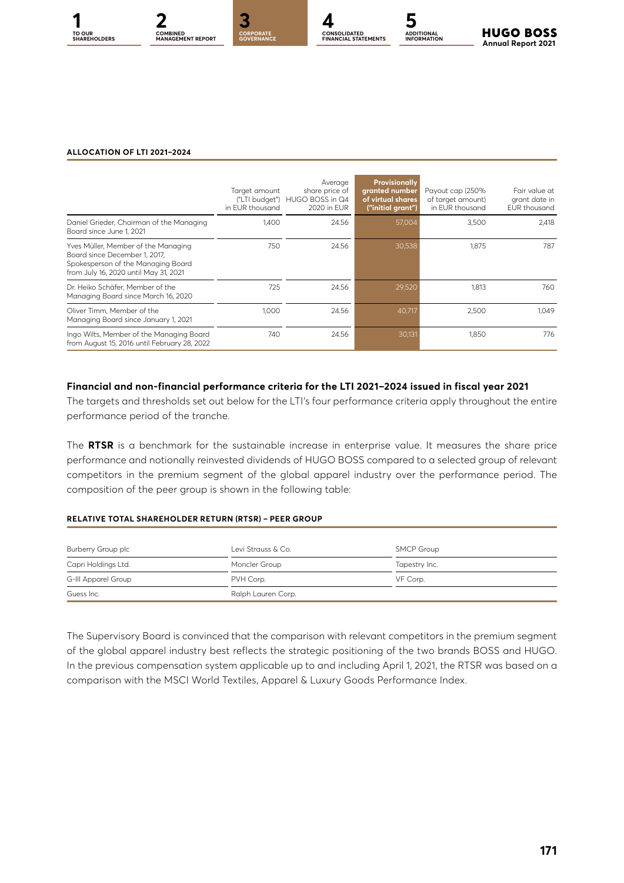

**CONSOLIDATED FINANCIAL STATEMENTS**

**ADDITIONAL INFORMATION**



#### **ALLOCATION OF LTI 2021–2024**

|                                                                                                                                                     | Target amount<br>in FUR thousand | Average<br>share price of<br>("LTI budget") HUGO BOSS in Q4<br>2020 in FUR | Provisionally<br>granted number<br>of virtual shares<br>("initial grant") | Payout cap (250%<br>of target amount)<br>in EUR thousand | Fair value at<br>grant date in<br><b>EUR</b> thousand |
|-----------------------------------------------------------------------------------------------------------------------------------------------------|----------------------------------|----------------------------------------------------------------------------|---------------------------------------------------------------------------|----------------------------------------------------------|-------------------------------------------------------|
| Daniel Grieder, Chairman of the Managing<br>Board since June 1, 2021                                                                                | 1.400                            | 24.56                                                                      | 57,004                                                                    | 3,500                                                    | 2,418                                                 |
| Yves Müller, Member of the Managing<br>Board since December 1, 2017,<br>Spokesperson of the Managing Board<br>from July 16, 2020 until May 31, 2021 | 750                              | 24.56                                                                      | 30,538                                                                    | 1.875                                                    | 787                                                   |
| Dr. Heiko Schäfer, Member of the<br>Managing Board since March 16, 2020                                                                             | 725                              | 24.56                                                                      | 29,520                                                                    | 1,813                                                    | 760                                                   |
| Oliver Timm. Member of the<br>Managing Board since January 1, 2021                                                                                  | 1.000                            | 24.56                                                                      | 40,717                                                                    | 2,500                                                    | 1.049                                                 |
| Ingo Wilts, Member of the Managing Board<br>from August 15, 2016 until February 28, 2022                                                            | 740                              | 24.56                                                                      | 30,131                                                                    | 1.850                                                    | 776                                                   |

#### **Financial and non-financial performance criteria for the LTI 2021–2024 issued in fiscal year 2021**

The targets and thresholds set out below for the LTI's four performance criteria apply throughout the entire performance period of the tranche.

The **RTSR** is a benchmark for the sustainable increase in enterprise value. It measures the share price performance and notionally reinvested dividends of HUGO BOSS compared to a selected group of relevant competitors in the premium segment of the global apparel industry over the performance period. The composition of the peer group is shown in the following table:

#### **RELATIVE TOTAL SHAREHOLDER RETURN (RTSR) – PEER GROUP**

| Burberry Group plc  | Levi Strauss & Co. | SMCP Group    |
|---------------------|--------------------|---------------|
| Capri Holdings Ltd. | Moncler Group      | Tapestry Inc. |
| G-III Apparel Group | PVH Corp.          | VF Corp.      |
| Guess Inc.          | Ralph Lauren Corp. |               |

The Supervisory Board is convinced that the comparison with relevant competitors in the premium segment of the global apparel industry best reflects the strategic positioning of the two brands BOSS and HUGO. In the previous compensation system applicable up to and including April 1, 2021, the RTSR was based on a comparison with the MSCI World Textiles, Apparel & Luxury Goods Performance Index.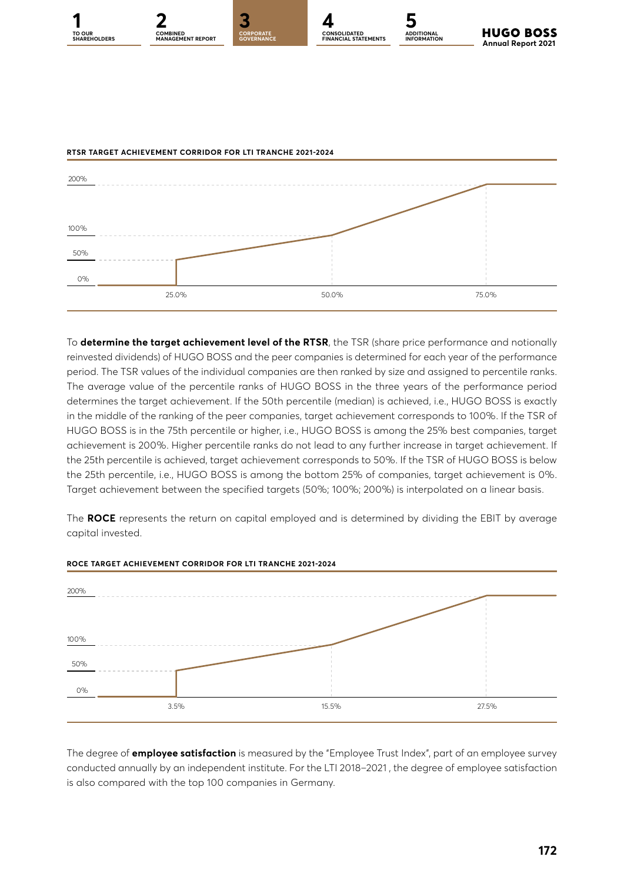



To **determine the target achievement level of the RTSR**, the TSR (share price performance and notionally reinvested dividends) of HUGO BOSS and the peer companies is determined for each year of the performance period. The TSR values of the individual companies are then ranked by size and assigned to percentile ranks. The average value of the percentile ranks of HUGO BOSS in the three years of the performance period determines the target achievement. If the 50th percentile (median) is achieved, i.e., HUGO BOSS is exactly in the middle of the ranking of the peer companies, target achievement corresponds to 100%. If the TSR of HUGO BOSS is in the 75th percentile or higher, i.e., HUGO BOSS is among the 25% best companies, target achievement is 200%. Higher percentile ranks do not lead to any further increase in target achievement. If the 25th percentile is achieved, target achievement corresponds to 50%. If the TSR of HUGO BOSS is below the 25th percentile, i.e., HUGO BOSS is among the bottom 25% of companies, target achievement is 0%. Target achievement between the specified targets (50%; 100%; 200%) is interpolated on a linear basis.

The **ROCE** represents the return on capital employed and is determined by dividing the EBIT by average capital invested.



#### **ROCE TARGET ACHIEVEMENT CORRIDOR FOR LTI TRANCHE 2021-2024**

The degree of **employee satisfaction** is measured by the "Employee Trust Index", part of an employee survey conducted annually by an independent institute. For the LTI 2018–2021 , the degree of employee satisfaction is also compared with the top 100 companies in Germany.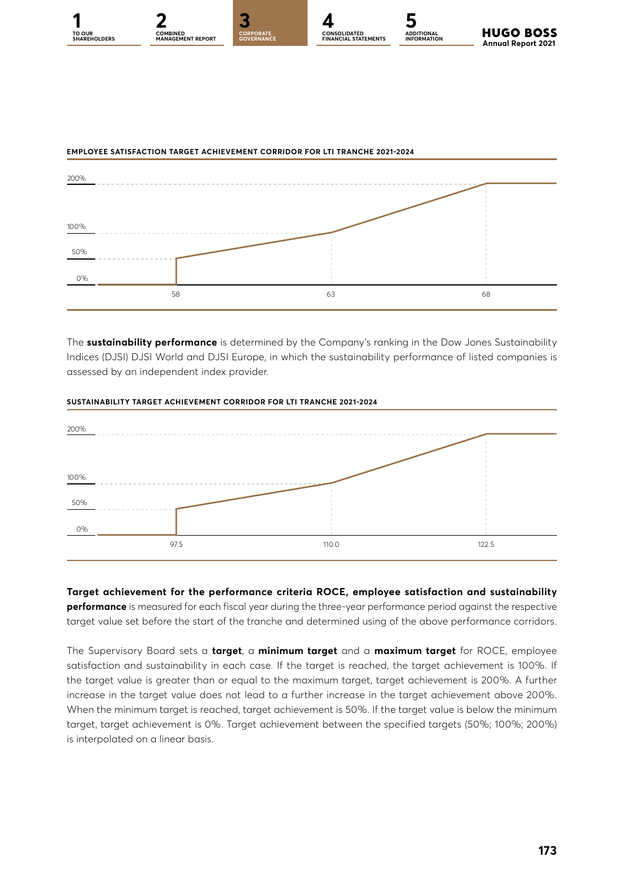



#### **EMPLOYEE SATISFACTION TARGET ACHIEVEMENT CORRIDOR FOR LTI TRANCHE 2021-2024**

The **sustainability performance** is determined by the Company's ranking in the Dow Jones Sustainability Indices (DJSI) DJSI World and DJSI Europe, in which the sustainability performance of listed companies is assessed by an independent index provider.



#### **SUSTAINABILITY TARGET ACHIEVEMENT CORRIDOR FOR LTI TRANCHE 2021-2024**

**Target achievement for the performance criteria ROCE, employee satisfaction and sustainability performance** is measured for each fiscal year during the three-year performance period against the respective target value set before the start of the tranche and determined using of the above performance corridors.

The Supervisory Board sets a **target**, a **minimum target** and a **maximum target** for ROCE, employee satisfaction and sustainability in each case. If the target is reached, the target achievement is 100%. If the target value is greater than or equal to the maximum target, target achievement is 200%. A further increase in the target value does not lead to a further increase in the target achievement above 200%. When the minimum target is reached, target achievement is 50%. If the target value is below the minimum target, target achievement is 0%. Target achievement between the specified targets (50%; 100%; 200%) is interpolated on a linear basis.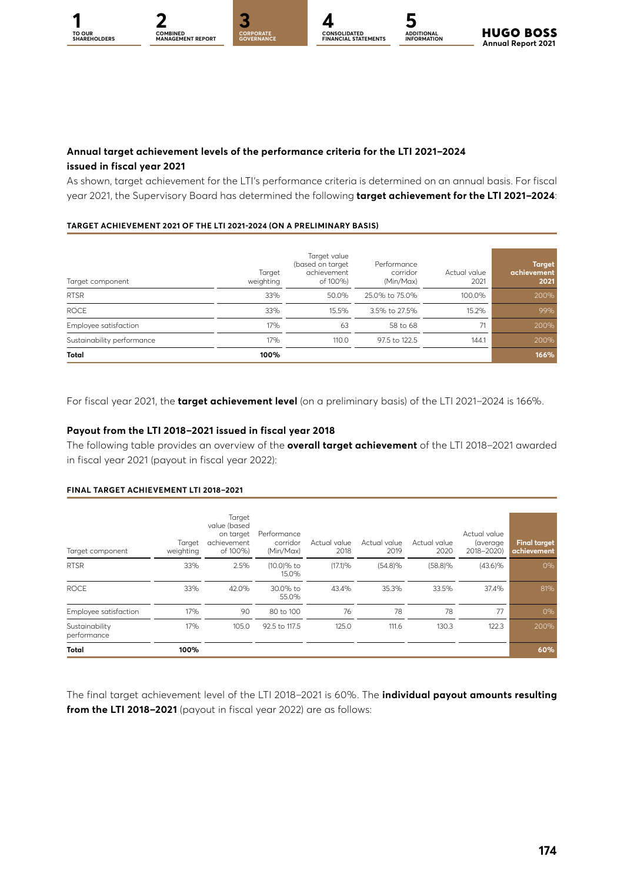**CORPORATE** 

**1 2 [3](#page--1-0) [4](#page--1-0) [5](#page--1-0) CORPORATE CONSOLIDATED FINANCIAL STATEMENTS**

**ADDITIONAL INFORMATION**



#### **Annual target achievement levels of the performance criteria for the LTI 2021–2024 issued in fiscal year 2021**

As shown, target achievement for the LTI's performance criteria is determined on an annual basis. For fiscal year 2021, the Supervisory Board has determined the following **target achievement for the LTI 2021–2024**:

#### **TARGET ACHIEVEMENT 2021 OF THE LTI 2021-2024 (ON A PRELIMINARY BASIS)**

| Target component           | Target<br>weighting | Target value<br>(based on target<br>achievement<br>of 100%) | Performance<br>corridor<br>(Min/Max) | Actual value<br>2021 | <b>Target</b><br>achievement<br>2021 |
|----------------------------|---------------------|-------------------------------------------------------------|--------------------------------------|----------------------|--------------------------------------|
| <b>RTSR</b>                | 33%                 | 50.0%                                                       | 25.0% to 75.0%                       | 100.0%               | 200%                                 |
| <b>ROCE</b>                | 33%                 | 15.5%                                                       | 3.5% to 27.5%                        | 15.2%                | 99%                                  |
| Employee satisfaction      | 17%                 | 63                                                          | 58 to 68                             | 71                   | 200%                                 |
| Sustainability performance | 17%                 | 110.0                                                       | 97.5 to 122.5                        | 144.1                | 200%                                 |
| <b>Total</b>               | 100%                |                                                             |                                      |                      | 166%                                 |

For fiscal year 2021, the **target achievement level** (on a preliminary basis) of the LTI 2021–2024 is 166%.

#### **Payout from the LTI 2018–2021 issued in fiscal year 2018**

The following table provides an overview of the **overall target achievement** of the LTI 2018–2021 awarded in fiscal year 2021 (payout in fiscal year 2022):

#### **FINAL TARGET ACHIEVEMENT LTI 2018–2021**

| Target component              | Target<br>weighting | Target<br>value (based<br>on target<br>achievement<br>of 100%) | Performance<br>corridor<br>(Min/Max) | Actual value<br>2018 | Actual value<br>2019 | Actual value<br>2020 | Actual value<br>(average)<br>2018-2020) | <b>Final target</b><br>achievement |
|-------------------------------|---------------------|----------------------------------------------------------------|--------------------------------------|----------------------|----------------------|----------------------|-----------------------------------------|------------------------------------|
| <b>RTSR</b>                   | 33%                 | 2.5%                                                           | (10.0)% to<br>15.0%                  | (17.1)%              | (54.8)%              | $(58.8)\%$           | $(43.6)\%$                              | 0%                                 |
| <b>ROCE</b>                   | 33%                 | 42.0%                                                          | 30.0% to<br>55.0%                    | 43.4%                | 35.3%                | 33.5%                | 37.4%                                   | 81%                                |
| Employee satisfaction         | 17%                 | 90                                                             | 80 to 100                            | 76                   | 78                   | 78                   | 77                                      | 0%                                 |
| Sustainability<br>performance | 17%                 | 105.0                                                          | 92.5 to 117.5                        | 125.0                | 111.6                | 130.3                | 122.3                                   | 200%                               |
| <b>Total</b>                  | 100%                |                                                                |                                      |                      |                      |                      |                                         | 60%                                |

The final target achievement level of the LTI 2018–2021 is 60%. The **individual payout amounts resulting from the LTI 2018–2021** (payout in fiscal year 2022) are as follows: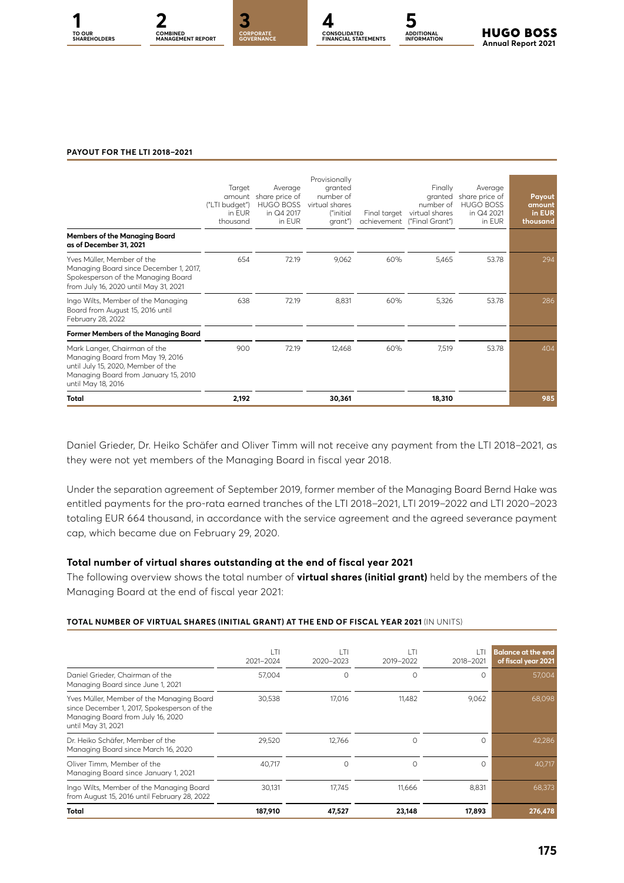



#### **PAYOUT FOR THE LTI 2018–2021**

|                                                                                                                                                                      | Target<br>amount<br>("LTI budget")<br>in FUR<br>thousand | Average<br>share price of<br><b>HUGO BOSS</b><br>in Q4 2017<br>in EUR | Provisionally<br>aranted<br>number of<br>virtual shares<br>("initial<br>grant") | Final target | Finally<br>granted<br>number of<br>virtual shares<br>achievement ("Final Grant") | Average<br>share price of<br><b>HUGO BOSS</b><br>in Q4 2021<br>in EUR | Payout<br>amount<br>in EUR<br>thousand |
|----------------------------------------------------------------------------------------------------------------------------------------------------------------------|----------------------------------------------------------|-----------------------------------------------------------------------|---------------------------------------------------------------------------------|--------------|----------------------------------------------------------------------------------|-----------------------------------------------------------------------|----------------------------------------|
| <b>Members of the Managing Board</b><br>as of December 31, 2021                                                                                                      |                                                          |                                                                       |                                                                                 |              |                                                                                  |                                                                       |                                        |
| Yves Müller, Member of the<br>Managing Board since December 1, 2017,<br>Spokesperson of the Managing Board<br>from July 16, 2020 until May 31, 2021                  | 654                                                      | 72.19                                                                 | 9,062                                                                           | 60%          | 5,465                                                                            | 53.78                                                                 | 294                                    |
| Ingo Wilts, Member of the Managing<br>Board from August 15, 2016 until<br>February 28, 2022                                                                          | 638                                                      | 72.19                                                                 | 8,831                                                                           | 60%          | 5,326                                                                            | 53.78                                                                 | 286                                    |
| Former Members of the Managing Board                                                                                                                                 |                                                          |                                                                       |                                                                                 |              |                                                                                  |                                                                       |                                        |
| Mark Langer, Chairman of the<br>Managing Board from May 19, 2016<br>until July 15, 2020, Member of the<br>Managing Board from January 15, 2010<br>until May 18, 2016 | 900                                                      | 72.19                                                                 | 12,468                                                                          | 60%          | 7,519                                                                            | 53.78                                                                 | 404                                    |
| Total                                                                                                                                                                | 2,192                                                    |                                                                       | 30,361                                                                          |              | 18,310                                                                           |                                                                       | 985                                    |

Daniel Grieder, Dr. Heiko Schäfer and Oliver Timm will not receive any payment from the LTI 2018–2021, as they were not yet members of the Managing Board in fiscal year 2018.

Under the separation agreement of September 2019, former member of the Managing Board Bernd Hake was entitled payments for the pro-rata earned tranches of the LTI 2018–2021, LTI 2019–2022 and LTI 2020–2023 totaling EUR 664 thousand, in accordance with the service agreement and the agreed severance payment cap, which became due on February 29, 2020.

#### **Total number of virtual shares outstanding at the end of fiscal year 2021**

The following overview shows the total number of **virtual shares (initial grant)** held by the members of the Managing Board at the end of fiscal year 2021:

#### **TOTAL NUMBER OF VIRTUAL SHARES (INITIAL GRANT) AT THE END OF FISCAL YEAR 2021** (IN UNITS)

|                                                                                                                                                     | ۱TI<br>2021-2024 | I TI<br>2020-2023 | l Ti<br>2019-2022 | 2018-2021 | Balance at the end<br>of fiscal year 2021 |
|-----------------------------------------------------------------------------------------------------------------------------------------------------|------------------|-------------------|-------------------|-----------|-------------------------------------------|
| Daniel Grieder, Chairman of the<br>Managing Board since June 1, 2021                                                                                | 57.004           | 0                 |                   |           | 57,004                                    |
| Yves Müller, Member of the Managing Board<br>since December 1, 2017, Spokesperson of the<br>Managing Board from July 16, 2020<br>until May 31, 2021 | 30.538           | 17.016            | 11.482            | 9,062     | 68,098                                    |
| Dr. Heiko Schäfer, Member of the<br>Managing Board since March 16, 2020                                                                             | 29,520           | 12.766            | Ω                 | ∩         | 42,286                                    |
| Oliver Timm, Member of the<br>Managing Board since January 1, 2021                                                                                  | 40.717           | $\Omega$          | Ω                 | O         | 40,717                                    |
| Ingo Wilts, Member of the Managing Board<br>from August 15, 2016 until February 28, 2022                                                            | 30.131           | 17.745            | 11.666            | 8,831     | 68,373                                    |
| Total                                                                                                                                               | 187,910          | 47,527            | 23,148            | 17,893    | 276,478                                   |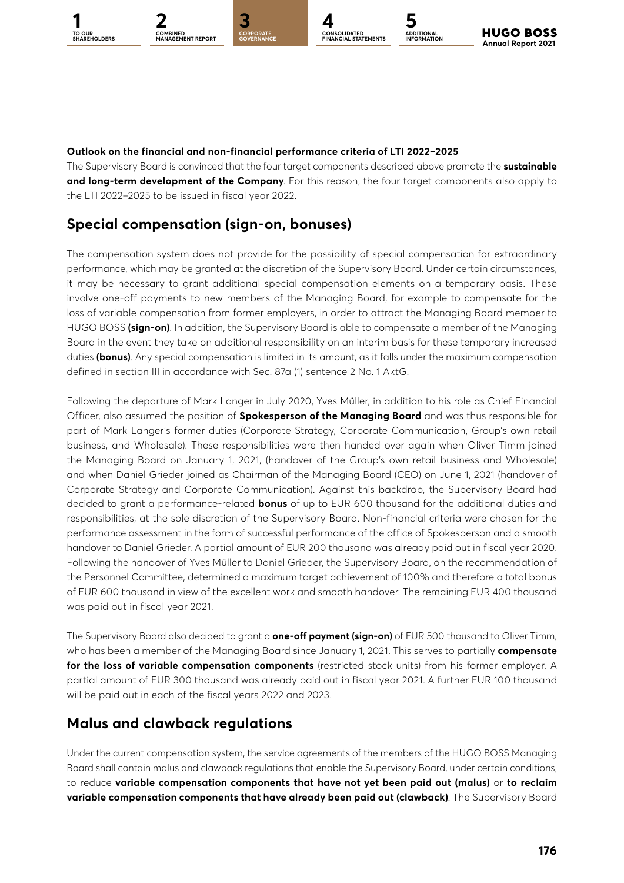**GOVERNANCE**

**1 2 [3](#page--1-0) [4](#page--1-0) [5](#page--1-0) CORPORATE CONSOLIDATED FINANCIAL STATEMENTS**

**ADDITIONAL INFORMATION**

#### **Outlook on the financial and non-financial performance criteria of LTI 2022–2025**

The Supervisory Board is convinced that the four target components described above promote the **sustainable and long-term development of the Company**. For this reason, the four target components also apply to the LTI 2022–2025 to be issued in fiscal year 2022.

### **Special compensation (sign-on, bonuses)**

The compensation system does not provide for the possibility of special compensation for extraordinary performance, which may be granted at the discretion of the Supervisory Board. Under certain circumstances, it may be necessary to grant additional special compensation elements on a temporary basis. These involve one-off payments to new members of the Managing Board, for example to compensate for the loss of variable compensation from former employers, in order to attract the Managing Board member to HUGO BOSS **(sign-on)**. In addition, the Supervisory Board is able to compensate a member of the Managing Board in the event they take on additional responsibility on an interim basis for these temporary increased duties **(bonus)**. Any special compensation is limited in its amount, as it falls under the maximum compensation defined in section III in accordance with Sec. 87a (1) sentence 2 No. 1 AktG.

Following the departure of Mark Langer in July 2020, Yves Müller, in addition to his role as Chief Financial Officer, also assumed the position of **Spokesperson of the Managing Board** and was thus responsible for part of Mark Langer's former duties (Corporate Strategy, Corporate Communication, Group's own retail business, and Wholesale). These responsibilities were then handed over again when Oliver Timm joined the Managing Board on January 1, 2021, (handover of the Group's own retail business and Wholesale) and when Daniel Grieder joined as Chairman of the Managing Board (CEO) on June 1, 2021 (handover of Corporate Strategy and Corporate Communication). Against this backdrop, the Supervisory Board had decided to grant a performance-related **bonus** of up to EUR 600 thousand for the additional duties and responsibilities, at the sole discretion of the Supervisory Board. Non-financial criteria were chosen for the performance assessment in the form of successful performance of the office of Spokesperson and a smooth handover to Daniel Grieder. A partial amount of EUR 200 thousand was already paid out in fiscal year 2020. Following the handover of Yves Müller to Daniel Grieder, the Supervisory Board, on the recommendation of the Personnel Committee, determined a maximum target achievement of 100% and therefore a total bonus of EUR 600 thousand in view of the excellent work and smooth handover. The remaining EUR 400 thousand was paid out in fiscal year 2021.

The Supervisory Board also decided to grant a **one-off payment (sign-on)** of EUR 500 thousand to Oliver Timm, who has been a member of the Managing Board since January 1, 2021. This serves to partially **compensate for the loss of variable compensation components** (restricted stock units) from his former employer. A partial amount of EUR 300 thousand was already paid out in fiscal year 2021. A further EUR 100 thousand will be paid out in each of the fiscal years 2022 and 2023.

### **Malus and clawback regulations**

Under the current compensation system, the service agreements of the members of the HUGO BOSS Managing Board shall contain malus and clawback regulations that enable the Supervisory Board, under certain conditions, to reduce **variable compensation components that have not yet been paid out (malus)** or **to reclaim variable compensation components that have already been paid out (clawback)**. The Supervisory Board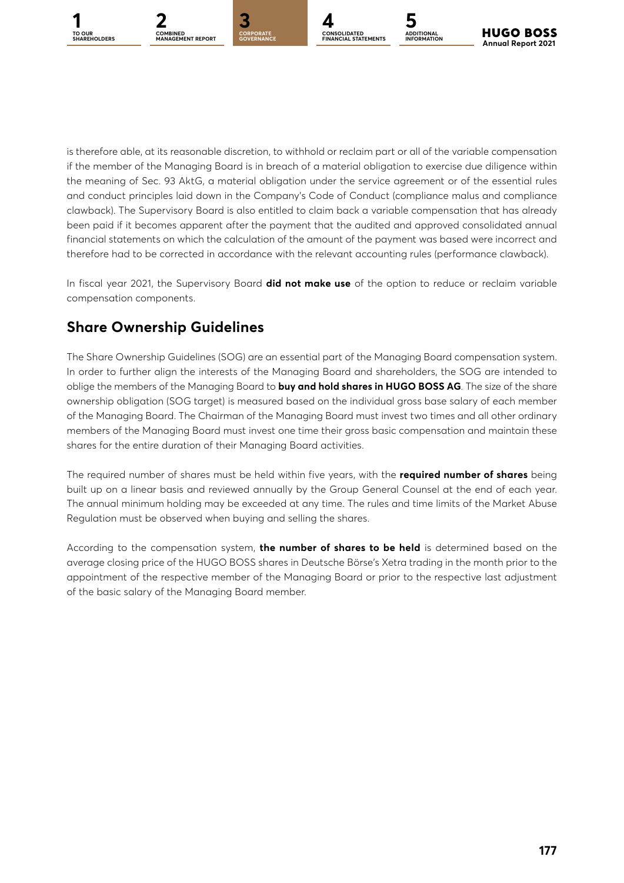



**GOVERNANCE**



is therefore able, at its reasonable discretion, to withhold or reclaim part or all of the variable compensation if the member of the Managing Board is in breach of a material obligation to exercise due diligence within the meaning of Sec. 93 AktG, a material obligation under the service agreement or of the essential rules and conduct principles laid down in the Company's Code of Conduct (compliance malus and compliance clawback). The Supervisory Board is also entitled to claim back a variable compensation that has already been paid if it becomes apparent after the payment that the audited and approved consolidated annual financial statements on which the calculation of the amount of the payment was based were incorrect and therefore had to be corrected in accordance with the relevant accounting rules (performance clawback).

In fiscal year 2021, the Supervisory Board **did not make use** of the option to reduce or reclaim variable compensation components.

### **Share Ownership Guidelines**

The Share Ownership Guidelines (SOG) are an essential part of the Managing Board compensation system. In order to further align the interests of the Managing Board and shareholders, the SOG are intended to oblige the members of the Managing Board to **buy and hold shares in HUGO BOSS AG**. The size of the share ownership obligation (SOG target) is measured based on the individual gross base salary of each member of the Managing Board. The Chairman of the Managing Board must invest two times and all other ordinary members of the Managing Board must invest one time their gross basic compensation and maintain these shares for the entire duration of their Managing Board activities.

The required number of shares must be held within five years, with the **required number of shares** being built up on a linear basis and reviewed annually by the Group General Counsel at the end of each year. The annual minimum holding may be exceeded at any time. The rules and time limits of the Market Abuse Regulation must be observed when buying and selling the shares.

According to the compensation system, **the number of shares to be held** is determined based on the average closing price of the HUGO BOSS shares in Deutsche Börse's Xetra trading in the month prior to the appointment of the respective member of the Managing Board or prior to the respective last adjustment of the basic salary of the Managing Board member.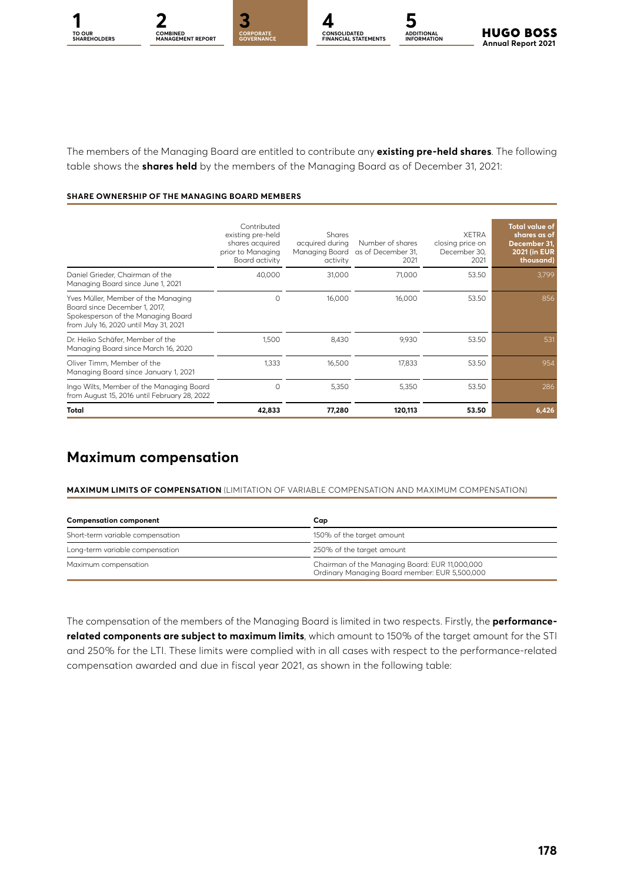**TO OUR** 

**ADDITIONAL INFORMATION**

The members of the Managing Board are entitled to contribute any **existing pre-held shares**. The following table shows the **shares held** by the members of the Managing Board as of December 31, 2021:

#### **SHARE OWNERSHIP OF THE MANAGING BOARD MEMBERS**

|                                                                                                                                                     | Contributed<br>existing pre-held<br>shares acquired<br>prior to Managing<br>Board activity | <b>Shares</b><br>acquired during<br>Managing Board<br>activity | Number of shares<br>as of December 31,<br>2021 | <b>XFTRA</b><br>closing price on<br>December 30,<br>2021 | <b>Total value of</b><br>shares as of<br>December 31,<br><b>2021 (in EUR)</b><br>thousand) |
|-----------------------------------------------------------------------------------------------------------------------------------------------------|--------------------------------------------------------------------------------------------|----------------------------------------------------------------|------------------------------------------------|----------------------------------------------------------|--------------------------------------------------------------------------------------------|
| Daniel Grieder, Chairman of the<br>Managing Board since June 1, 2021                                                                                | 40,000                                                                                     | 31,000                                                         | 71,000                                         | 53.50                                                    | 3,799                                                                                      |
| Yves Müller, Member of the Managing<br>Board since December 1, 2017,<br>Spokesperson of the Managing Board<br>from July 16, 2020 until May 31, 2021 | $\Omega$                                                                                   | 16.000                                                         | 16.000                                         | 53.50                                                    | 856                                                                                        |
| Dr. Heiko Schäfer, Member of the<br>Managing Board since March 16, 2020                                                                             | 1,500                                                                                      | 8.430                                                          | 9,930                                          | 53.50                                                    | 531                                                                                        |
| Oliver Timm, Member of the<br>Managing Board since January 1, 2021                                                                                  | 1.333                                                                                      | 16,500                                                         | 17.833                                         | 53.50                                                    | 954                                                                                        |
| Ingo Wilts, Member of the Managing Board<br>from August 15, 2016 until February 28, 2022                                                            | $\circ$                                                                                    | 5,350                                                          | 5,350                                          | 53.50                                                    | 286                                                                                        |
| Total                                                                                                                                               | 42,833                                                                                     | 77,280                                                         | 120,113                                        | 53.50                                                    | 6,426                                                                                      |

### **Maximum compensation**

**MAXIMUM LIMITS OF COMPENSATION** (LIMITATION OF VARIABLE COMPENSATION AND MAXIMUM COMPENSATION)

| <b>Compensation component</b>    | Cap                                                                                             |  |  |  |  |
|----------------------------------|-------------------------------------------------------------------------------------------------|--|--|--|--|
| Short-term variable compensation | 150% of the target amount                                                                       |  |  |  |  |
| Long-term variable compensation  | 250% of the target amount                                                                       |  |  |  |  |
| Maximum compensation             | Chairman of the Managing Board: EUR 11,000,000<br>Ordinary Managing Board member: EUR 5,500,000 |  |  |  |  |

The compensation of the members of the Managing Board is limited in two respects. Firstly, the **performancerelated components are subject to maximum limits**, which amount to 150% of the target amount for the STI and 250% for the LTI. These limits were complied with in all cases with respect to the performance-related compensation awarded and due in fiscal year 2021, as shown in the following table: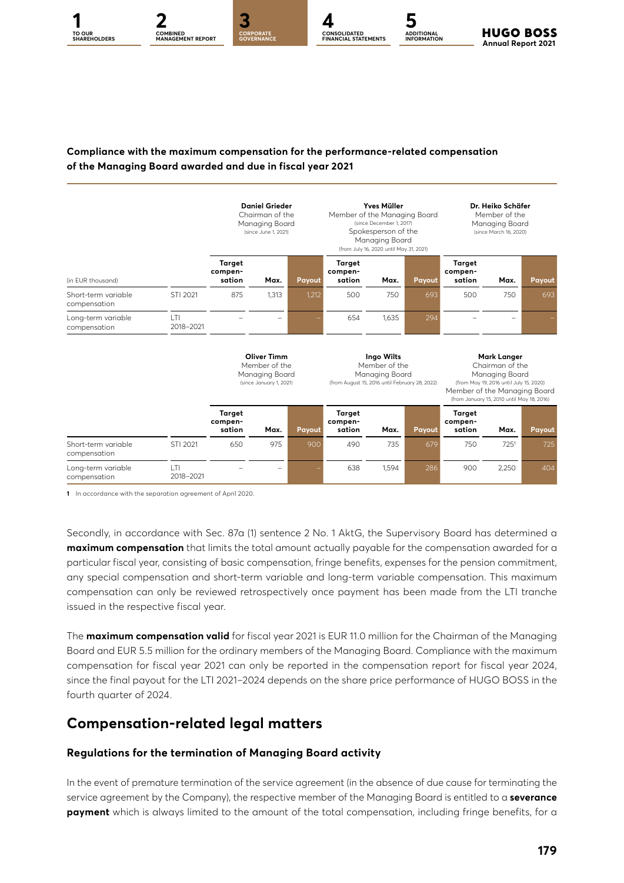#### **Compliance with the maximum compensation for the performance-related compensation of the Managing Board awarded and due in fiscal year 2021**

**CONSOLIDATED FINANCIAL STATEMENTS**

**ADDITIONAL INFORMATION**

**Annual Report 2021** 

**HUGO BOSS** 

**1 2 [3](#page--1-0) [4](#page--1-0) [5](#page--1-0) CORPORATE GOVERNANCE**

**COMBINED [MANAGEMENT REPORT](#page--1-0)**

**TO OUR** 

|                                     |                 | <b>Daniel Grieder</b><br>Chairman of the<br>Managing Board<br>(since June 1, 2021) |       |                                                                                                 | <b>Yves Müller</b><br>Member of the Managing Board<br>(since December 1, 2017)<br>Spokesperson of the<br>Managing Board<br>(from July 16, 2020 until May 31, 2021) |                                                                                                                                                                           |        | Dr. Heiko Schäfer<br>Member of the<br>Managing Board<br>(since March 16, 2020) |       |        |
|-------------------------------------|-----------------|------------------------------------------------------------------------------------|-------|-------------------------------------------------------------------------------------------------|--------------------------------------------------------------------------------------------------------------------------------------------------------------------|---------------------------------------------------------------------------------------------------------------------------------------------------------------------------|--------|--------------------------------------------------------------------------------|-------|--------|
| (in EUR thousand)                   |                 | <b>Target</b><br>compen-<br>sation                                                 | Max.  | Payout                                                                                          | <b>Target</b><br>compen-<br>sation                                                                                                                                 | Max.                                                                                                                                                                      | Payout | <b>Target</b><br>compen-<br>sation                                             | Max.  | Payout |
| Short-term variable<br>compensation | STI 2021        | 875                                                                                | 1,313 | 1,212                                                                                           | 500                                                                                                                                                                | 750                                                                                                                                                                       | 693    | 500                                                                            | 750   | 693    |
| Long-term variable<br>compensation  | T <br>2018-2021 |                                                                                    |       |                                                                                                 | 654                                                                                                                                                                | 1.635                                                                                                                                                                     | 294    |                                                                                |       |        |
|                                     |                 | <b>Oliver Timm</b><br>Member of the<br>Managing Board<br>(since January 1, 2021)   |       | Ingo Wilts<br>Member of the<br>Managing Board<br>(from August 15, 2016 until February 28, 2022) |                                                                                                                                                                    | Mark Langer<br>Chairman of the<br>Managing Board<br>(from May 19, 2016 until July 15, 2020)<br>Member of the Managing Board<br>(from January 15, 2010 until May 18, 2016) |        |                                                                                |       |        |
|                                     |                 | <b>Target</b><br>compen-<br>sation                                                 | Max.  | Payout                                                                                          | <b>Target</b><br>compen-<br>sation                                                                                                                                 | Max.                                                                                                                                                                      | Payout | <b>Target</b><br>compen-<br>sation                                             | Max.  | Payout |
| Short-term variable<br>compensation | STI 2021        | 650                                                                                | 975   | 900                                                                                             | 490                                                                                                                                                                | 735                                                                                                                                                                       | 679    | 750                                                                            | 7251  | 725    |
| Long-term variable<br>compensation  | T <br>2018-2021 |                                                                                    |       |                                                                                                 | 638                                                                                                                                                                | 1.594                                                                                                                                                                     | 286    | 900                                                                            | 2.250 | 404    |

**1** In accordance with the separation agreement of April 2020.

Secondly, in accordance with Sec. 87a (1) sentence 2 No. 1 AktG, the Supervisory Board has determined a **maximum compensation** that limits the total amount actually payable for the compensation awarded for a particular fiscal year, consisting of basic compensation, fringe benefits, expenses for the pension commitment, any special compensation and short-term variable and long-term variable compensation. This maximum compensation can only be reviewed retrospectively once payment has been made from the LTI tranche issued in the respective fiscal year.

The **maximum compensation valid** for fiscal year 2021 is EUR 11.0 million for the Chairman of the Managing Board and EUR 5.5 million for the ordinary members of the Managing Board. Compliance with the maximum compensation for fiscal year 2021 can only be reported in the compensation report for fiscal year 2024, since the final payout for the LTI 2021–2024 depends on the share price performance of HUGO BOSS in the fourth quarter of 2024.

#### **Compensation-related legal matters**

#### **Regulations for the termination of Managing Board activity**

In the event of premature termination of the service agreement (in the absence of due cause for terminating the service agreement by the Company), the respective member of the Managing Board is entitled to a **severance payment** which is always limited to the amount of the total compensation, including fringe benefits, for a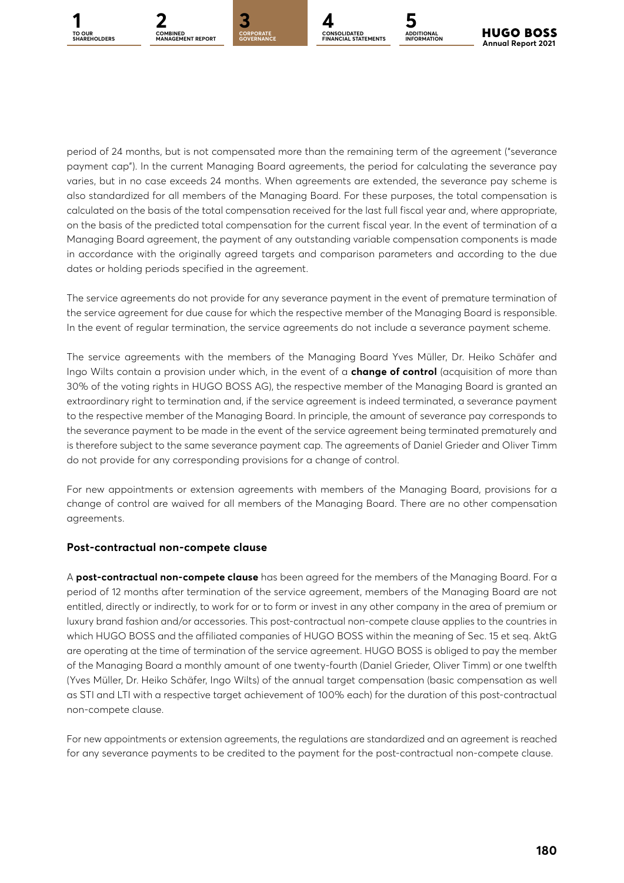



**GOVERNANCE**



**ADDITIONAL INFORMATION**

period of 24 months, but is not compensated more than the remaining term of the agreement ("severance payment cap"). In the current Managing Board agreements, the period for calculating the severance pay varies, but in no case exceeds 24 months. When agreements are extended, the severance pay scheme is also standardized for all members of the Managing Board. For these purposes, the total compensation is calculated on the basis of the total compensation received for the last full fiscal year and, where appropriate, on the basis of the predicted total compensation for the current fiscal year. In the event of termination of a Managing Board agreement, the payment of any outstanding variable compensation components is made in accordance with the originally agreed targets and comparison parameters and according to the due dates or holding periods specified in the agreement.

The service agreements do not provide for any severance payment in the event of premature termination of the service agreement for due cause for which the respective member of the Managing Board is responsible. In the event of regular termination, the service agreements do not include a severance payment scheme.

The service agreements with the members of the Managing Board Yves Müller, Dr. Heiko Schäfer and Ingo Wilts contain a provision under which, in the event of a **change of control** (acquisition of more than 30% of the voting rights in HUGO BOSS AG), the respective member of the Managing Board is granted an extraordinary right to termination and, if the service agreement is indeed terminated, a severance payment to the respective member of the Managing Board. In principle, the amount of severance pay corresponds to the severance payment to be made in the event of the service agreement being terminated prematurely and is therefore subject to the same severance payment cap. The agreements of Daniel Grieder and Oliver Timm do not provide for any corresponding provisions for a change of control.

For new appointments or extension agreements with members of the Managing Board, provisions for a change of control are waived for all members of the Managing Board. There are no other compensation agreements.

#### **Post-contractual non-compete clause**

A **post-contractual non-compete clause** has been agreed for the members of the Managing Board. For a period of 12 months after termination of the service agreement, members of the Managing Board are not entitled, directly or indirectly, to work for or to form or invest in any other company in the area of premium or luxury brand fashion and/or accessories. This post-contractual non-compete clause applies to the countries in which HUGO BOSS and the affiliated companies of HUGO BOSS within the meaning of Sec. 15 et seq. AktG are operating at the time of termination of the service agreement. HUGO BOSS is obliged to pay the member of the Managing Board a monthly amount of one twenty-fourth (Daniel Grieder, Oliver Timm) or one twelfth (Yves Müller, Dr. Heiko Schäfer, Ingo Wilts) of the annual target compensation (basic compensation as well as STI and LTI with a respective target achievement of 100% each) for the duration of this post-contractual non-compete clause.

For new appointments or extension agreements, the regulations are standardized and an agreement is reached for any severance payments to be credited to the payment for the post-contractual non-compete clause.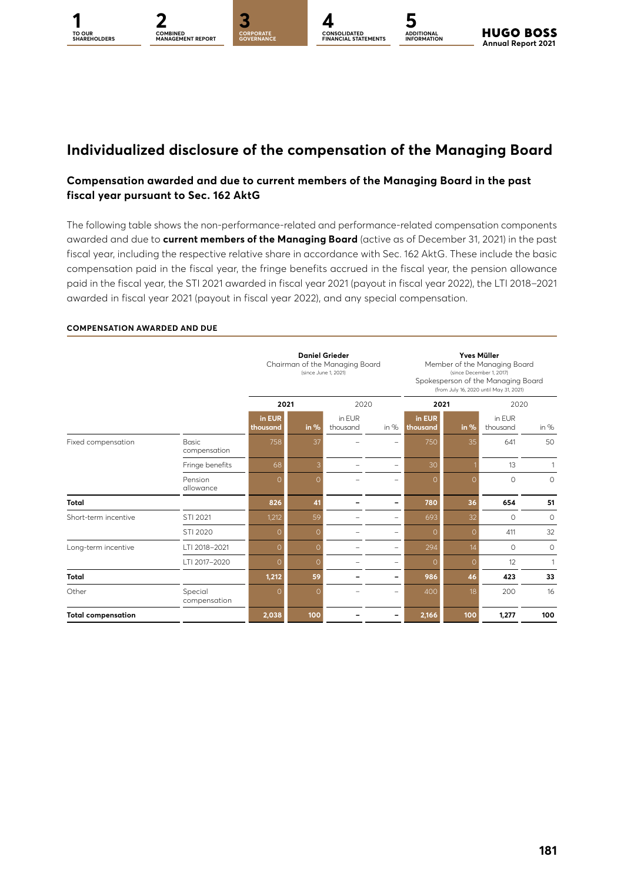

**ADDITIONAL INFORMATION**

### **Individualized disclosure of the compensation of the Managing Board**

#### **Compensation awarded and due to current members of the Managing Board in the past fiscal year pursuant to Sec. 162 AktG**

The following table shows the non-performance-related and performance-related compensation components awarded and due to **current members of the Managing Board** (active as of December 31, 2021) in the past fiscal year, including the respective relative share in accordance with Sec. 162 AktG. These include the basic compensation paid in the fiscal year, the fringe benefits accrued in the fiscal year, the pension allowance paid in the fiscal year, the STI 2021 awarded in fiscal year 2021 (payout in fiscal year 2022), the LTI 2018–2021 awarded in fiscal year 2021 (payout in fiscal year 2022), and any special compensation.

## **COMPENSATION AWARDED AND DUE**

|                           |                              |                    | <b>Daniel Grieder</b><br>Chairman of the Managing Board<br>(since June 1, 2021) |                    |                                |                    | <b>Yves Müller</b><br>Member of the Managing Board<br>(since December 1, 2017)<br>Spokesperson of the Managing Board<br>(from July 16, 2020 until May 31, 2021) |                    |         |  |  |
|---------------------------|------------------------------|--------------------|---------------------------------------------------------------------------------|--------------------|--------------------------------|--------------------|-----------------------------------------------------------------------------------------------------------------------------------------------------------------|--------------------|---------|--|--|
|                           |                              |                    | 2021                                                                            |                    | 2020                           | 2021               |                                                                                                                                                                 | 2020               |         |  |  |
|                           |                              | in EUR<br>thousand | in %                                                                            | in EUR<br>thousand | in $%$                         | in EUR<br>thousand | in $%$                                                                                                                                                          | in EUR<br>thousand | in $%$  |  |  |
| Fixed compensation        | <b>Basic</b><br>compensation | 758                | 37                                                                              |                    | ÷                              | 750                | 35                                                                                                                                                              | 641                | 50      |  |  |
|                           | Fringe benefits              | 68                 | 3                                                                               |                    | $\equiv$                       | 30                 |                                                                                                                                                                 | 13                 | 1       |  |  |
|                           | Pension<br>allowance         | 0                  | $\Omega$                                                                        |                    |                                | $\Omega$           | $\Omega$                                                                                                                                                        | $\circ$            | $\circ$ |  |  |
| Total                     |                              | 826                | 41                                                                              |                    | ۰                              | 780                | 36                                                                                                                                                              | 654                | 51      |  |  |
| Short-term incentive      | STI 2021                     | 1,212              | 59                                                                              |                    | -                              | 693                | 32                                                                                                                                                              | $\circ$            | $\circ$ |  |  |
|                           | STI 2020                     | 0                  | $\Omega$                                                                        |                    | $\equiv$                       | 0                  | $\Omega$                                                                                                                                                        | 411                | 32      |  |  |
| Long-term incentive       | LTI 2018-2021                | $\Omega$           | $\Omega$                                                                        |                    | $\equiv$                       | 294                | 14                                                                                                                                                              | $\Omega$           | $\circ$ |  |  |
|                           | LTI 2017-2020                | 0                  | $\Omega$                                                                        |                    | $\qquad \qquad \longleftarrow$ | 0                  | $\Omega$                                                                                                                                                        | 12                 |         |  |  |
| <b>Total</b>              |                              | 1,212              | 59                                                                              |                    | -                              | 986                | 46                                                                                                                                                              | 423                | 33      |  |  |
| Other                     | Special<br>compensation      | Ω                  | $\Omega$                                                                        |                    | -                              | 400                | 18                                                                                                                                                              | 200                | 16      |  |  |
| <b>Total compensation</b> |                              | 2,038              | 100                                                                             |                    | -                              | 2,166              | 100                                                                                                                                                             | 1,277              | 100     |  |  |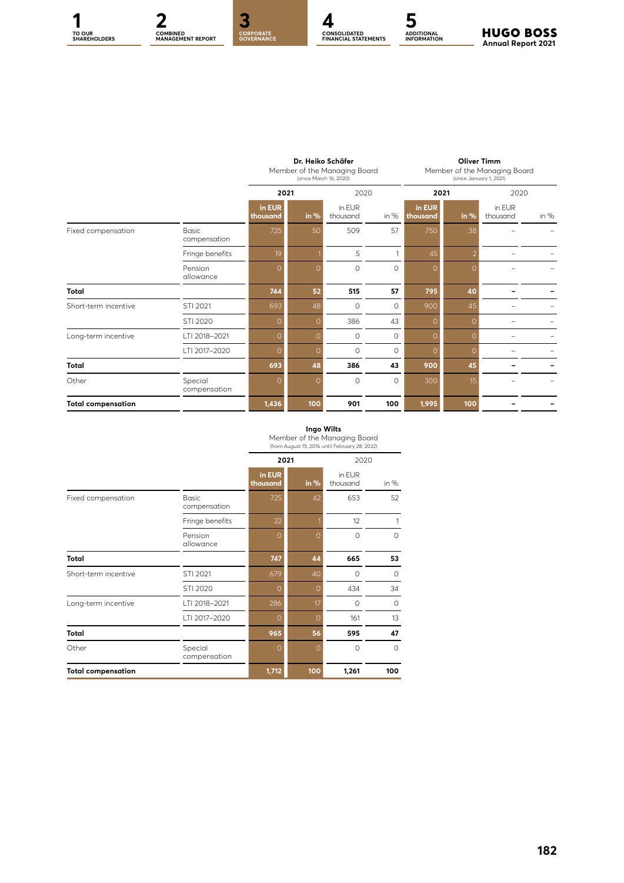

**CONSOLIDATED FINANCIAL STATEMENTS**

**ADDITIONAL INFORMATION**

|                           |                              |                    | Dr. Heiko Schäfer<br>Member of the Managing Board<br>(since March 16, 2020) |                    |         |                    | <b>Oliver Timm</b><br>Member of the Managing Board<br>(since January 1, 2021) |                    |        |  |
|---------------------------|------------------------------|--------------------|-----------------------------------------------------------------------------|--------------------|---------|--------------------|-------------------------------------------------------------------------------|--------------------|--------|--|
|                           |                              | 2021               |                                                                             | 2020               |         | 2021               |                                                                               | 2020               |        |  |
|                           |                              | in EUR<br>thousand | in $%$                                                                      | in EUR<br>thousand | in $%$  | in EUR<br>thousand | in $%$                                                                        | in EUR<br>thousand | in $%$ |  |
| Fixed compensation        | <b>Basic</b><br>compensation | 725                | 50                                                                          | 509                | 57      | 750                | 38                                                                            |                    |        |  |
|                           | Fringe benefits              | 19                 |                                                                             | 5                  |         | 45                 |                                                                               |                    |        |  |
|                           | Pension<br>allowance         | 0                  | $\overline{O}$                                                              | $\circ$            | $\circ$ | $\Omega$           | $\Omega$                                                                      |                    |        |  |
| Total                     |                              | 744                | 52                                                                          | 515                | 57      | 795                | 40                                                                            |                    |        |  |
| Short-term incentive      | STI 2021                     | 693                | 48                                                                          | $\circ$            | $\circ$ | 900                | 45                                                                            |                    |        |  |
|                           | STI 2020                     | $\circ$            | $\Omega$                                                                    | 386                | 43      | $\Omega$           | $\Omega$                                                                      |                    |        |  |
| Long-term incentive       | LTI 2018-2021                | $\Omega$           | $\Omega$                                                                    | $\circ$            | $\circ$ | $\Omega$           | $\Omega$                                                                      |                    |        |  |
|                           | LTI 2017-2020                | $\circ$            | $\circ$                                                                     | $\circ$            | $\circ$ | $\circ$            | $\Omega$                                                                      |                    |        |  |
| Total                     |                              | 693                | 48                                                                          | 386                | 43      | 900                | 45                                                                            |                    |        |  |
| Other                     | Special<br>compensation      | 0                  | $\Omega$                                                                    | $\circ$            | $\circ$ | 300                | 15                                                                            |                    |        |  |
| <b>Total compensation</b> |                              | 1,436              | 100                                                                         | 901                | 100     | 1,995              | 100                                                                           |                    |        |  |

#### **Ingo Wilts**

|                           |                              |                    |          | (from August 15, 2016 until February 28, 2022) |          |
|---------------------------|------------------------------|--------------------|----------|------------------------------------------------|----------|
|                           |                              | 2021               |          | 2020                                           |          |
|                           |                              | in EUR<br>thousand | in $%$   | in EUR<br>thousand                             | in $%$   |
| Fixed compensation        | <b>Basic</b><br>compensation | 725                | 42       | 653                                            | 52       |
|                           | Fringe benefits              | 22                 |          | 12                                             | 1        |
|                           | Pension<br>allowance         | O                  | $\Omega$ | $\Omega$                                       | $\Omega$ |
| Total                     |                              | 747                | 44       | 665                                            | 53       |
| Short-term incentive      | STI 2021                     | 679                | 40       | $\Omega$                                       | $\circ$  |
|                           | STI 2020                     | Ω                  | $\Omega$ | 434                                            | 34       |
| Long-term incentive       | LTI 2018-2021                | 286                | 17       | 0                                              | 0        |
|                           | LTI 2017-2020                | ი                  | $\Omega$ | 161                                            | 13       |
| <b>Total</b>              |                              | 965                | 56       | 595                                            | 47       |
| Other                     | Special<br>compensation      | O                  | $\Omega$ | $\Omega$                                       | $\circ$  |
| <b>Total compensation</b> |                              | 1,712              | 100      | 1,261                                          | 100      |

Member of the Managing Board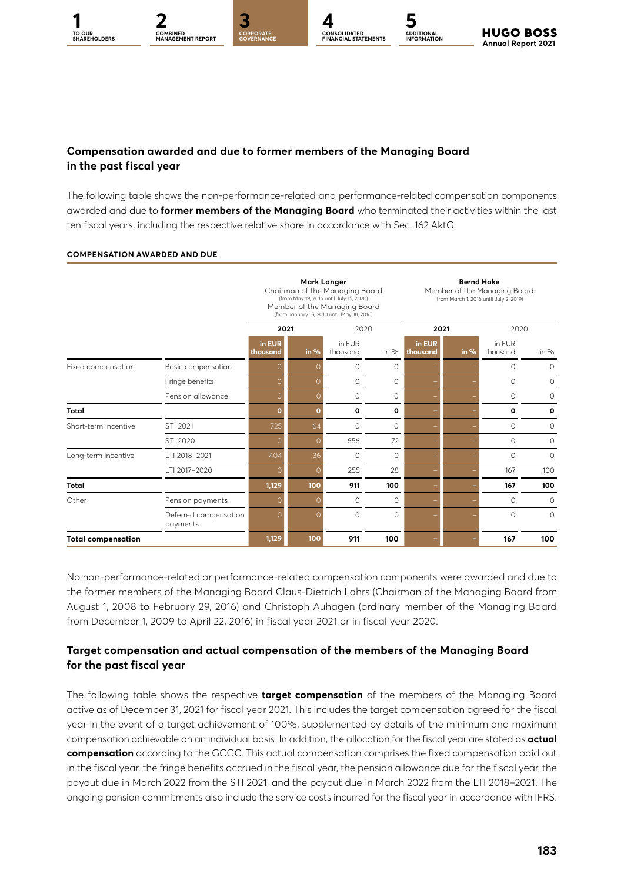### **Compensation awarded and due to former members of the Managing Board in the past fiscal year**

**1 2 [3](#page--1-0) [4](#page--1-0) [5](#page--1-0) CORPORATE GOVERNANCE**

**COMBINED [MANAGEMENT REPORT](#page--1-0)**

**TO OUR** 

The following table shows the non-performance-related and performance-related compensation components awarded and due to **former members of the Managing Board** who terminated their activities within the last ten fiscal years, including the respective relative share in accordance with Sec. 162 AktG:

**CONSOLIDATED FINANCIAL STATEMENTS**

**ADDITIONAL INFORMATION**

**Annual Report 2021** 

**HUGO BOSS** 

|                           |                                   |                    | <b>Mark Langer</b><br>Chairman of the Managing Board<br>(from May 19, 2016 until July 15, 2020)<br>Member of the Managing Board<br>(from January 15, 2010 until May 18, 2016) |                    | <b>Bernd Hake</b><br>Member of the Managing Board<br>(from March 1, 2016 until July 2, 2019) |                    |        |                    |              |
|---------------------------|-----------------------------------|--------------------|-------------------------------------------------------------------------------------------------------------------------------------------------------------------------------|--------------------|----------------------------------------------------------------------------------------------|--------------------|--------|--------------------|--------------|
|                           |                                   | 2021               |                                                                                                                                                                               | 2020               |                                                                                              | 2021               |        | 2020               |              |
|                           |                                   | in EUR<br>thousand | in $%$                                                                                                                                                                        | in EUR<br>thousand | in $%$                                                                                       | in EUR<br>thousand | in $%$ | in EUR<br>thousand | in $%$       |
| Fixed compensation        | Basic compensation                | Ω                  | Ω                                                                                                                                                                             | $\circ$            | 0                                                                                            |                    |        | $\circ$            | $\circ$      |
|                           | Fringe benefits                   | Ω                  | $\Omega$                                                                                                                                                                      | $\circ$            | $\Omega$                                                                                     |                    |        | $\Omega$           | $\Omega$     |
|                           | Pension allowance                 | Ω                  | $\Omega$                                                                                                                                                                      | $\circ$            | 0                                                                                            |                    |        | $\circ$            | 0            |
| <b>Total</b>              |                                   | O                  | $\mathbf o$                                                                                                                                                                   | 0                  | O                                                                                            |                    |        | O                  | $\mathbf{o}$ |
| Short-term incentive      | STI 2021                          | 725                | 64                                                                                                                                                                            | $\circ$            | $\circ$                                                                                      |                    |        | $\circ$            | 0            |
|                           | STI 2020                          | Ω                  | $\Omega$                                                                                                                                                                      | 656                | 72                                                                                           |                    |        | $\circ$            | $\circ$      |
| Long-term incentive       | LTI 2018-2021                     | 404                | 36                                                                                                                                                                            | $\circ$            | $\circ$                                                                                      |                    |        | $\circ$            | $\circ$      |
|                           | LTI 2017-2020                     | Ω                  | $\Omega$                                                                                                                                                                      | 255                | 28                                                                                           |                    |        | 167                | 100          |
| <b>Total</b>              |                                   | 1,129              | 100                                                                                                                                                                           | 911                | 100                                                                                          |                    |        | 167                | 100          |
| Other                     | Pension payments                  | Ω                  | $\Omega$                                                                                                                                                                      | $\circ$            | $\circ$                                                                                      |                    |        | $\circ$            | $\circ$      |
|                           | Deferred compensation<br>payments | $\Omega$           | $\Omega$                                                                                                                                                                      | $\Omega$           | $\Omega$                                                                                     |                    |        | $\circ$            | $\Omega$     |
| <b>Total compensation</b> |                                   | 1,129              | 100                                                                                                                                                                           | 911                | 100                                                                                          |                    |        | 167                | 100          |

#### **COMPENSATION AWARDED AND DUE**

No non-performance-related or performance-related compensation components were awarded and due to the former members of the Managing Board Claus-Dietrich Lahrs (Chairman of the Managing Board from August 1, 2008 to February 29, 2016) and Christoph Auhagen (ordinary member of the Managing Board from December 1, 2009 to April 22, 2016) in fiscal year 2021 or in fiscal year 2020.

#### **Target compensation and actual compensation of the members of the Managing Board for the past fiscal year**

The following table shows the respective **target compensation** of the members of the Managing Board active as of December 31, 2021 for fiscal year 2021. This includes the target compensation agreed for the fiscal year in the event of a target achievement of 100%, supplemented by details of the minimum and maximum compensation achievable on an individual basis. In addition, the allocation for the fiscal year are stated as **actual compensation** according to the GCGC. This actual compensation comprises the fixed compensation paid out in the fiscal year, the fringe benefits accrued in the fiscal year, the pension allowance due for the fiscal year, the payout due in March 2022 from the STI 2021, and the payout due in March 2022 from the LTI 2018–2021. The ongoing pension commitments also include the service costs incurred for the fiscal year in accordance with IFRS.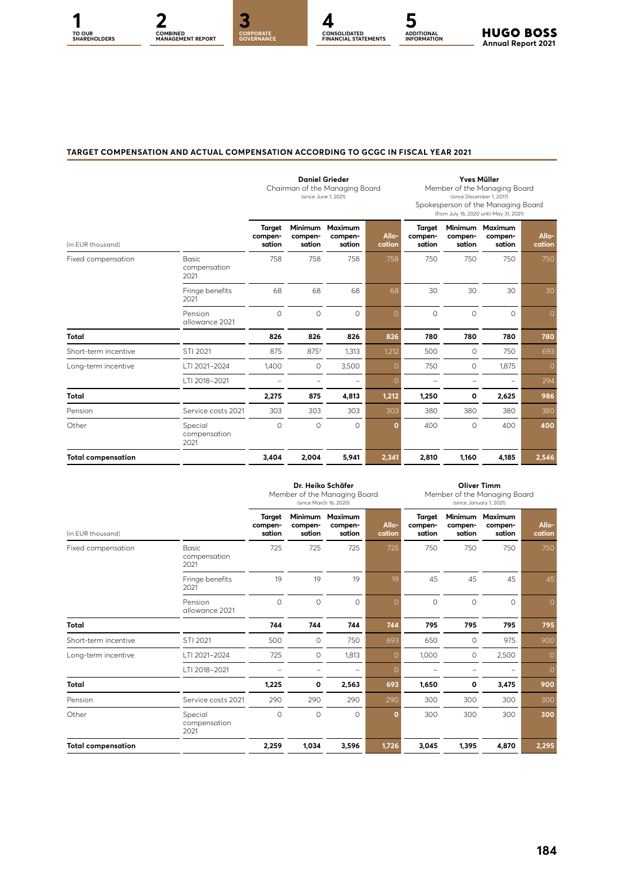

#### **TARGET COMPENSATION AND ACTUAL COMPENSATION ACCORDING TO GCGC IN FISCAL YEAR 2021**

|                           |                                 |                             | (since June 1, 2021)                | <b>Daniel Grieder</b><br>Chairman of the Managing Board |                 | <b>Yves Müller</b><br>Member of the Managing Board<br>(since December 1, 2017)<br>Spokesperson of the Managing Board<br>(from July 16, 2020 until May 31, 2021) |                              |                              |                 |
|---------------------------|---------------------------------|-----------------------------|-------------------------------------|---------------------------------------------------------|-----------------|-----------------------------------------------------------------------------------------------------------------------------------------------------------------|------------------------------|------------------------------|-----------------|
|                           |                                 |                             |                                     |                                                         |                 |                                                                                                                                                                 |                              |                              |                 |
| (in EUR thousand)         |                                 | Target<br>compen-<br>sation | <b>Minimum</b><br>compen-<br>sation | <b>Maximum</b><br>compen-<br>sation                     | Allo-<br>cation | Target<br>compen-<br>sation                                                                                                                                     | Minimum<br>compen-<br>sation | Maximum<br>compen-<br>sation | Allo-<br>cation |
| Fixed compensation        | Basic<br>compensation<br>2021   | 758                         | 758                                 | 758                                                     | 758             | 750                                                                                                                                                             | 750                          | 750                          | 750             |
|                           | Fringe benefits<br>2021         | 68                          | 68                                  | 68                                                      | 68              | 30                                                                                                                                                              | 30                           | 30                           | 30              |
|                           | Pension<br>allowance 2021       | $\circ$                     | $\circ$                             | $\circ$                                                 | $\Omega$        | $\circ$                                                                                                                                                         | $\circ$                      | $\Omega$                     | $\Omega$        |
| <b>Total</b>              |                                 | 826                         | 826                                 | 826                                                     | 826             | 780                                                                                                                                                             | 780                          | 780                          | 780             |
| Short-term incentive      | STI 2021                        | 875                         | 8751                                | 1,313                                                   | 1,212           | 500                                                                                                                                                             | 0                            | 750                          | 693             |
| Long-term incentive       | LTI 2021-2024                   | 1,400                       | $\circ$                             | 3,500                                                   | O               | 750                                                                                                                                                             | 0                            | 1,875                        | $\Omega$        |
|                           | LTI 2018-2021                   |                             | $\overline{\phantom{0}}$            |                                                         | 0               |                                                                                                                                                                 | -                            |                              | 294             |
| <b>Total</b>              |                                 | 2,275                       | 875                                 | 4,813                                                   | 1,212           | 1,250                                                                                                                                                           | 0                            | 2,625                        | 986             |
| Pension                   | Service costs 2021              | 303                         | 303                                 | 303                                                     | 303             | 380                                                                                                                                                             | 380                          | 380                          | 380             |
| Other                     | Special<br>compensation<br>2021 | $\circ$                     | $\circ$                             | $\circ$                                                 | ٥               | 400                                                                                                                                                             | $\circ$                      | 400                          | 400             |
| <b>Total compensation</b> |                                 | 3,404                       | 2,004                               | 5,941                                                   | 2,341           | 2,810                                                                                                                                                           | 1,160                        | 4,185                        | 2,546           |

|                           |                                      | Dr. Heiko Schäfer<br>Member of the Managing Board<br>(since March 16, 2020) |                              |                              |                 | <b>Oliver Timm</b><br>Member of the Managing Board<br>(since January 1, 2021) |                   |                                      |                 |
|---------------------------|--------------------------------------|-----------------------------------------------------------------------------|------------------------------|------------------------------|-----------------|-------------------------------------------------------------------------------|-------------------|--------------------------------------|-----------------|
| (in EUR thousand)         |                                      | Target<br>compen-<br>sation                                                 | Minimum<br>compen-<br>sation | Maximum<br>compen-<br>sation | Allo-<br>cation | Target<br>compen-<br>sation                                                   | compen-<br>sation | Minimum Maximum<br>compen-<br>sation | Allo-<br>cation |
| Fixed compensation        | <b>Basic</b><br>compensation<br>2021 | 725                                                                         | 725                          | 725                          | 725             | 750                                                                           | 750               | 750                                  | 750             |
|                           | Fringe benefits<br>2021              | 19                                                                          | 19                           | 19                           | 19              | 45                                                                            | 45                | 45                                   | 45              |
|                           | Pension<br>allowance 2021            | $\circ$                                                                     | $\circ$                      | $\circ$                      | $\Omega$        | $\circ$                                                                       | 0                 | $\circ$                              | $\circ$         |
| <b>Total</b>              |                                      | 744                                                                         | 744                          | 744                          | 744             | 795                                                                           | 795               | 795                                  | 795             |
| Short-term incentive      | STI 2021                             | 500                                                                         | $\circ$                      | 750                          | 693             | 650                                                                           | $\circ$           | 975                                  | 900             |
| Long-term incentive       | LTI 2021-2024                        | 725                                                                         | 0                            | 1,813                        | $\Omega$        | 1,000                                                                         | 0                 | 2,500                                | $\Omega$        |
|                           | LTI 2018-2021                        |                                                                             |                              |                              | $\Omega$        |                                                                               |                   |                                      | $\circ$         |
| <b>Total</b>              |                                      | 1,225                                                                       | 0                            | 2,563                        | 693             | 1,650                                                                         | 0                 | 3,475                                | 900             |
| Pension                   | Service costs 2021                   | 290                                                                         | 290                          | 290                          | 290             | 300                                                                           | 300               | 300                                  | 300             |
| Other                     | Special<br>compensation<br>2021      | $\circ$                                                                     | $\circ$                      | $\circ$                      | O               | 300                                                                           | 300               | 300                                  | 300             |
| <b>Total compensation</b> |                                      | 2,259                                                                       | 1,034                        | 3,596                        | 1,726           | 3,045                                                                         | 1,395             | 4,870                                | 2,295           |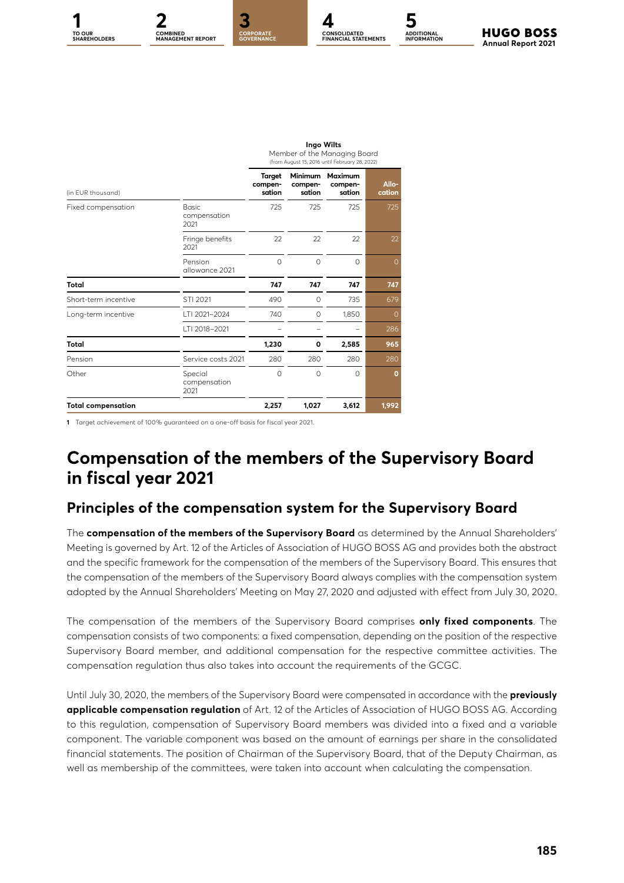

**Ingo Wilts**

|                           |                                      |                             |                                     | Member of the Managing Board<br>(from August 15, 2016 until February 28, 2022) |                 |  |
|---------------------------|--------------------------------------|-----------------------------|-------------------------------------|--------------------------------------------------------------------------------|-----------------|--|
| (in EUR thousand)         |                                      | Target<br>compen-<br>sation | <b>Minimum</b><br>compen-<br>sation | <b>Maximum</b><br>compen-<br>sation                                            | Allo-<br>cation |  |
| Fixed compensation        | <b>Basic</b><br>compensation<br>2021 | 725                         | 725                                 | 725                                                                            | 725             |  |
|                           | Fringe benefits<br>2021              | 22                          | 22                                  | 22                                                                             | 22              |  |
|                           | Pension<br>allowance 2021            | $\Omega$                    | $\Omega$                            | $\Omega$                                                                       | $\Omega$        |  |
| <b>Total</b>              |                                      | 747                         | 747                                 | 747                                                                            | 747             |  |
| Short-term incentive      | STI 2021                             | 490                         | 0                                   | 735                                                                            | 679             |  |
| Long-term incentive       | LTI 2021-2024                        | 740                         | 0                                   | 1,850                                                                          | $\Omega$        |  |
|                           | LTI 2018-2021                        |                             |                                     |                                                                                | 286             |  |
| Total                     |                                      | 1,230                       | 0                                   | 2,585                                                                          | 965             |  |
| Pension                   | Service costs 2021                   | 280                         | 280                                 | 280                                                                            | 280             |  |
| Other                     | Special<br>compensation<br>2021      | $\Omega$                    | 0                                   | $\Omega$                                                                       | $\Omega$        |  |
| <b>Total compensation</b> |                                      | 2,257                       | 1,027                               | 3,612                                                                          | 1,992           |  |

**1** Target achievement of 100% guaranteed on a one-off basis for fiscal year 2021.

### **Compensation of the members of the Supervisory Board in fiscal year 2021**

### **Principles of the compensation system for the Supervisory Board**

The **compensation of the members of the Supervisory Board** as determined by the Annual Shareholders' Meeting is governed by Art. 12 of the Articles of Association of HUGO BOSS AG and provides both the abstract and the specific framework for the compensation of the members of the Supervisory Board. This ensures that the compensation of the members of the Supervisory Board always complies with the compensation system adopted by the Annual Shareholders' Meeting on May 27, 2020 and adjusted with effect from July 30, 2020.

The compensation of the members of the Supervisory Board comprises **only fixed components**. The compensation consists of two components: a fixed compensation, depending on the position of the respective Supervisory Board member, and additional compensation for the respective committee activities. The compensation regulation thus also takes into account the requirements of the GCGC.

Until July 30, 2020, the members of the Supervisory Board were compensated in accordance with the **previously applicable compensation regulation** of Art. 12 of the Articles of Association of HUGO BOSS AG. According to this regulation, compensation of Supervisory Board members was divided into a fixed and a variable component. The variable component was based on the amount of earnings per share in the consolidated financial statements. The position of Chairman of the Supervisory Board, that of the Deputy Chairman, as well as membership of the committees, were taken into account when calculating the compensation.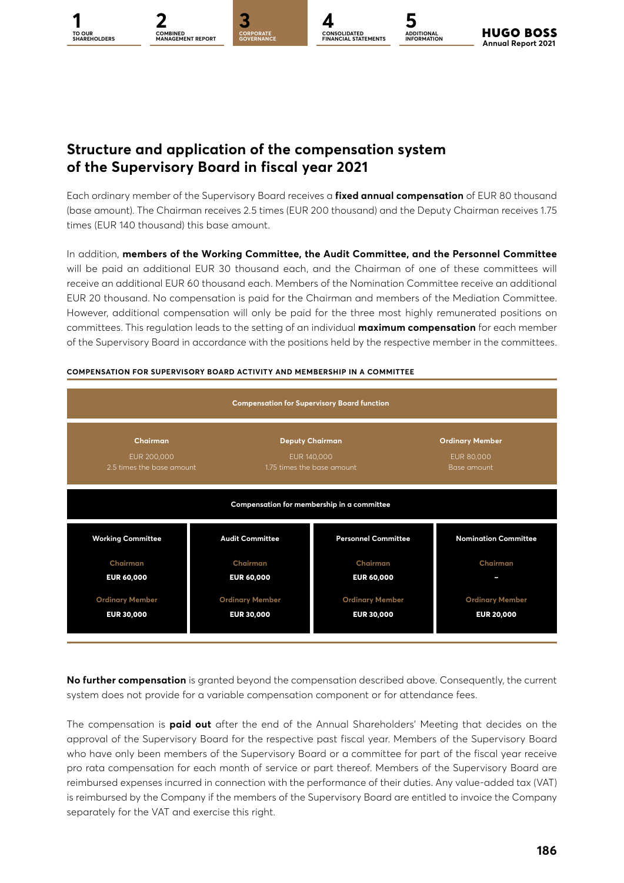### **Structure and application of the compensation system of the Supervisory Board in fiscal year 2021**

**1 2 [3](#page--1-0) [4](#page--1-0) [5](#page--1-0) CORPORATE GOVERNANCE**

**COMBINED [MANAGEMENT REPORT](#page--1-0)**

**TO OUR** 

Each ordinary member of the Supervisory Board receives a **fixed annual compensation** of EUR 80 thousand (base amount). The Chairman receives 2.5 times (EUR 200 thousand) and the Deputy Chairman receives 1.75 times (EUR 140 thousand) this base amount.

**CONSOLIDATED FINANCIAL STATEMENTS**

**ADDITIONAL INFORMATION**

**Annual Report 2021** 

**HUGO BOSS** 

In addition, **members of the Working Committee, the Audit Committee, and the Personnel Committee** will be paid an additional EUR 30 thousand each, and the Chairman of one of these committees will receive an additional EUR 60 thousand each. Members of the Nomination Committee receive an additional EUR 20 thousand. No compensation is paid for the Chairman and members of the Mediation Committee. However, additional compensation will only be paid for the three most highly remunerated positions on committees. This regulation leads to the setting of an individual **maximum compensation** for each member of the Supervisory Board in accordance with the positions held by the respective member in the committees.



#### **COMPENSATION FOR SUPERVISORY BOARD ACTIVITY AND MEMBERSHIP IN A COMMITTEE**

**No further compensation** is granted beyond the compensation described above. Consequently, the current system does not provide for a variable compensation component or for attendance fees.

The compensation is **paid out** after the end of the Annual Shareholders' Meeting that decides on the approval of the Supervisory Board for the respective past fiscal year. Members of the Supervisory Board who have only been members of the Supervisory Board or a committee for part of the fiscal year receive pro rata compensation for each month of service or part thereof. Members of the Supervisory Board are reimbursed expenses incurred in connection with the performance of their duties. Any value-added tax (VAT) is reimbursed by the Company if the members of the Supervisory Board are entitled to invoice the Company separately for the VAT and exercise this right.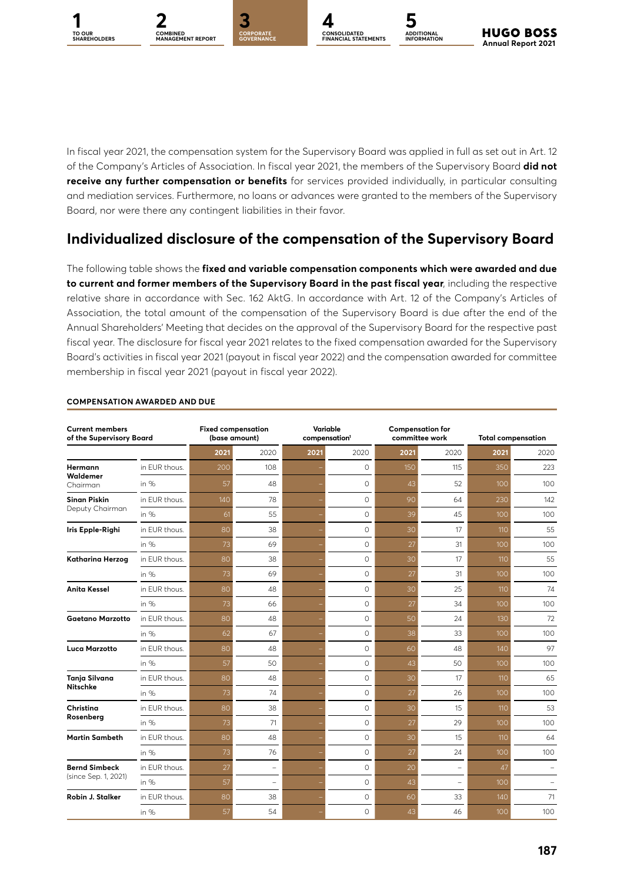



CORPORAT<mark>E</mark><br>GOVERNANCE



**ADDITIONAL INFORMATION**

In fiscal year 2021, the compensation system for the Supervisory Board was applied in full as set out in Art. 12 of the Company's Articles of Association. In fiscal year 2021, the members of the Supervisory Board **did not receive any further compensation or benefits** for services provided individually, in particular consulting and mediation services. Furthermore, no loans or advances were granted to the members of the Supervisory Board, nor were there any contingent liabilities in their favor.

### **Individualized disclosure of the compensation of the Supervisory Board**

The following table shows the **fixed and variable compensation components which were awarded and due to current and former members of the Supervisory Board in the past fiscal year**, including the respective relative share in accordance with Sec. 162 AktG. In accordance with Art. 12 of the Company's Articles of Association, the total amount of the compensation of the Supervisory Board is due after the end of the Annual Shareholders' Meeting that decides on the approval of the Supervisory Board for the respective past fiscal year. The disclosure for fiscal year 2021 relates to the fixed compensation awarded for the Supervisory Board's activities in fiscal year 2021 (payout in fiscal year 2022) and the compensation awarded for committee membership in fiscal year 2021 (payout in fiscal year 2022).

| <b>Current members</b><br>of the Supervisory Board |               | <b>Fixed compensation</b><br>(base amount) |          |      | Variable<br>compensation <sup>1</sup> |      | <b>Compensation for</b><br>committee work | <b>Total compensation</b> |      |  |
|----------------------------------------------------|---------------|--------------------------------------------|----------|------|---------------------------------------|------|-------------------------------------------|---------------------------|------|--|
|                                                    |               | 2021                                       | 2020     | 2021 | 2020                                  | 2021 | 2020                                      | 2021                      | 2020 |  |
| Hermann                                            | in EUR thous. | 200                                        | 108      |      | $\Omega$                              | 150  | 115                                       | 350                       | 223  |  |
| Waldemer<br>Chairman                               | in $%$        | 57                                         | 48       |      | $\Omega$                              | 43   | 52                                        | 100                       | 100  |  |
| <b>Sinan Piskin</b>                                | in EUR thous. | 140                                        | 78       |      | $\circ$                               | 90   | 64                                        | 230                       | 142  |  |
| Deputy Chairman                                    | in $%$        | 61                                         | 55       |      | $\Omega$                              | 39   | 45                                        | 100                       | 100  |  |
| Iris Epple-Righi                                   | in EUR thous. | 80                                         | 38       |      | $\Omega$                              | 30   | 17                                        | 110                       | 55   |  |
|                                                    | in $%$        | 73                                         | 69       |      | $\Omega$                              | 27   | 31                                        | 100                       | 100  |  |
| Katharina Herzog                                   | in EUR thous. | 80                                         | 38       |      | $\circ$                               | 30   | 17                                        | 110                       | 55   |  |
|                                                    | in $%$        | 73                                         | 69       |      | $\Omega$                              | 27   | 31                                        | 100                       | 100  |  |
| <b>Anita Kessel</b>                                | in EUR thous. | 80                                         | 48       |      | $\Omega$                              | 30   | 25                                        | 110                       | 74   |  |
|                                                    | in $%$        | 73                                         | 66       |      | $\Omega$                              | 27   | 34                                        | 100                       | 100  |  |
| <b>Gaetano Marzotto</b>                            | in EUR thous. | 80                                         | 48       |      | $\Omega$                              | 50   | 24                                        | 130                       | 72   |  |
|                                                    | in $%$        | 62                                         | 67       |      | $\circ$                               | 38   | 33                                        | 100                       | 100  |  |
| Luca Marzotto                                      | in EUR thous. | 80                                         | 48       |      | $\Omega$                              | 60   | 48                                        | 140                       | 97   |  |
|                                                    | in $%$        | 57                                         | 50       |      | $\Omega$                              | 43   | 50                                        | 100                       | 100  |  |
| Tanja Silvana                                      | in EUR thous. | 80                                         | 48       |      | $\Omega$                              | 30   | 17                                        | 110                       | 65   |  |
| <b>Nitschke</b>                                    | in $%$        | 73                                         | 74       |      | $\Omega$                              | 27   | 26                                        | 100                       | 100  |  |
| Christina                                          | in EUR thous. | 80                                         | 38       |      | $\Omega$                              | 30   | 15                                        | 110                       | 53   |  |
| Rosenberg                                          | in %          | 73                                         | 71       |      | $\Omega$                              | 27   | 29                                        | 100                       | 100  |  |
| <b>Martin Sambeth</b>                              | in EUR thous. | 80                                         | 48       |      | $\Omega$                              | 30   | 15                                        | 110                       | 64   |  |
|                                                    | in $%$        | 73                                         | 76       |      | $\circ$                               | 27   | 24                                        | 100                       | 100  |  |
| <b>Bernd Simbeck</b>                               | in EUR thous. | 27                                         | $\equiv$ |      | $\Omega$                              | 20   | ÷                                         | 47                        |      |  |
| (since Sep. 1, 2021)                               | in $%$        | 57                                         | $\equiv$ |      | $\Omega$                              | 43   | $\equiv$                                  | 100                       |      |  |
| Robin J. Stalker                                   | in EUR thous. | 80                                         | 38       |      | $\Omega$                              | 60   | 33                                        | 140                       | 71   |  |
|                                                    | in %          | 57                                         | 54       |      | $\circ$                               | 43   | 46                                        | 100                       | 100  |  |

#### **COMPENSATION AWARDED AND DUE**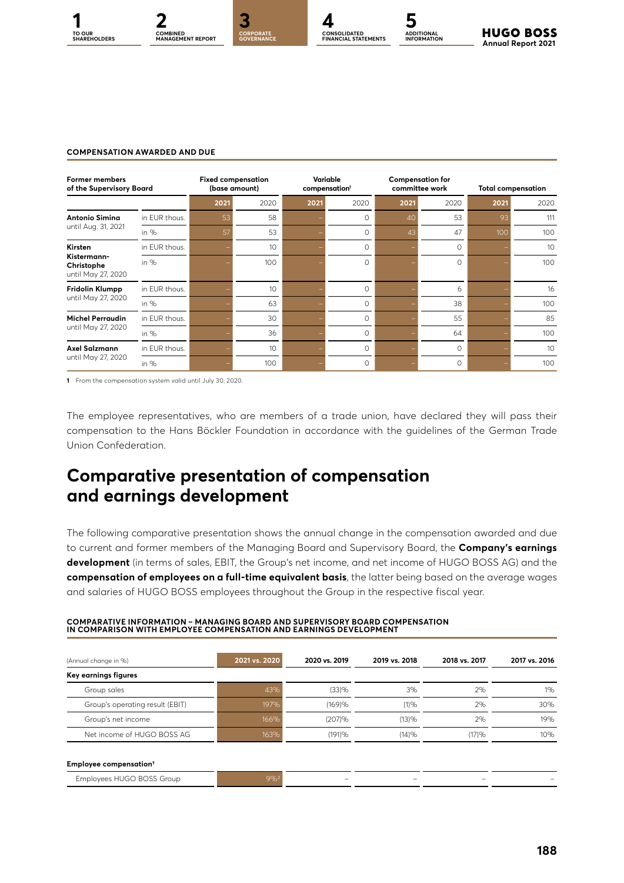



**CONSOLIDATED FINANCIAL STATEMENTS**



#### **COMPENSATION AWARDED AND DUE**

| <b>Former members</b><br>of the Supervisory Board |               | <b>Fixed compensation</b><br>(base amount) |      |      | Variable<br>compensation <sup>1</sup> |      | <b>Compensation for</b><br>committee work |      | <b>Total compensation</b> |  |
|---------------------------------------------------|---------------|--------------------------------------------|------|------|---------------------------------------|------|-------------------------------------------|------|---------------------------|--|
|                                                   |               | 2021                                       | 2020 | 2021 | 2020                                  | 2021 | 2020                                      | 2021 | 2020                      |  |
| <b>Antonio Simina</b>                             | in EUR thous. | 53                                         | 58   |      | $\Omega$                              | 40   | 53                                        | 93   | 111                       |  |
| until Aug. 31, 2021                               | in $%$        | 57                                         | 53   |      | $\Omega$                              | 43   | 47                                        | 100  | 100                       |  |
| Kirsten                                           | in EUR thous. |                                            | 10   |      | $\Omega$                              |      | $\Omega$                                  |      | 10 <sup>°</sup>           |  |
| Kistermann-<br>Christophe<br>until May 27, 2020   | in $%$        |                                            | 100  |      | $\Omega$                              |      | $\Omega$                                  |      | 100                       |  |
| Fridolin Klumpp                                   | in EUR thous. |                                            | 10   |      | $\Omega$                              |      | 6                                         |      | 16                        |  |
| until May 27, 2020                                | in $%$        |                                            | 63   |      | $\Omega$                              |      | 38                                        |      | 100                       |  |
| <b>Michel Perraudin</b>                           | in FUR thous. |                                            | 30   |      | $\Omega$                              |      | 55                                        |      | 85                        |  |
| until May 27, 2020                                | in $%$        |                                            | 36   |      | $\Omega$                              |      | 64                                        |      | 100                       |  |
| Axel Salzmann                                     | in EUR thous. |                                            | 10   |      | $\Omega$                              |      | $\Omega$                                  |      | 10                        |  |
| until May 27, 2020                                | in $%$        |                                            | 100  |      | $\Omega$                              |      | $\Omega$                                  |      | 100                       |  |

**1** From the compensation system valid until July 30, 2020.

The employee representatives, who are members of a trade union, have declared they will pass their compensation to the Hans Böckler Foundation in accordance with the guidelines of the German Trade Union Confederation.

### **Comparative presentation of compensation and earnings development**

The following comparative presentation shows the annual change in the compensation awarded and due to current and former members of the Managing Board and Supervisory Board, the **Company's earnings development** (in terms of sales, EBIT, the Group's net income, and net income of HUGO BOSS AG) and the **compensation of employees on a full-time equivalent basis**, the latter being based on the average wages and salaries of HUGO BOSS employees throughout the Group in the respective fiscal year.

| (Annual change in %)               | 2021 vs. 2020 | 2020 vs. 2019 | 2019 vs. 2018 | 2018 vs. 2017 | 2017 vs. 2016 |
|------------------------------------|---------------|---------------|---------------|---------------|---------------|
| Key earnings figures               |               |               |               |               |               |
| Group sales                        | 43%           | (33)%         | 3%            | 2%            | $1\%$         |
| Group's operating result (EBIT)    | 197%          | (169)%        | (1)%          | 2%            | 30%           |
| Group's net income                 | 166%          | (207)%        | (13)%         | 2%            | 19%           |
| Net income of HUGO BOSS AG         | 163%          | (191)%        | (14)%         | (17)%         | 10%           |
| Employee compensation <sup>1</sup> |               |               |               |               |               |
| Employees HUGO BOSS Group          | $9%^{2}$      |               |               |               |               |

### **COMPARATIVE INFORMATION – MANAGING BOARD AND SUPERVISORY BOARD COMPENSATION IN COMPARISON WITH EMPLOYEE COMPENSATION AND EARNINGS DEVELOPMENT**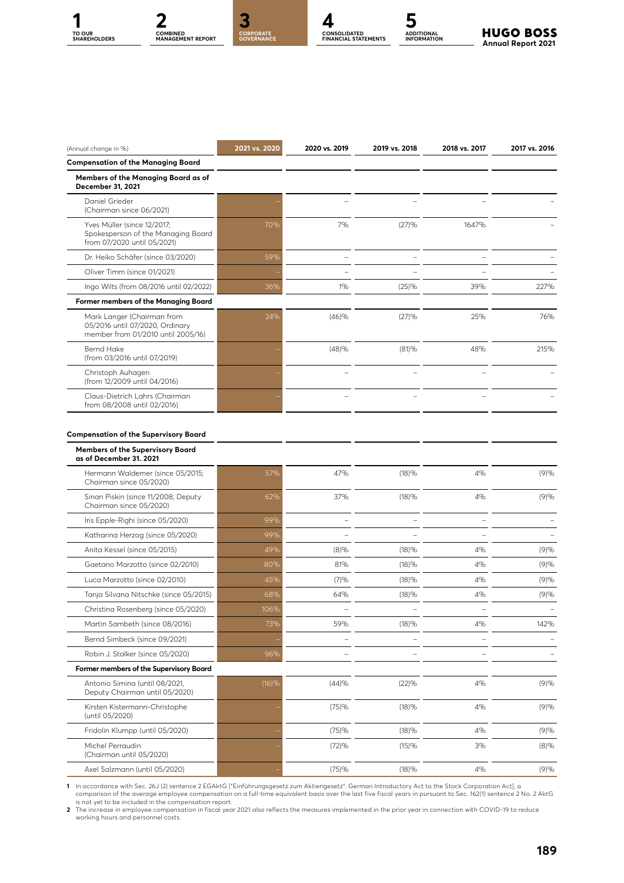





**CONSOLIDATED FINANCIAL STATEMENTS**



| (Annual change in %)                                                                                | 2021 vs. 2020 | 2020 vs. 2019            | 2019 vs. 2018 | 2018 vs. 2017 | 2017 vs. 2016 |
|-----------------------------------------------------------------------------------------------------|---------------|--------------------------|---------------|---------------|---------------|
| <b>Compensation of the Managing Board</b>                                                           |               |                          |               |               |               |
| Members of the Managing Board as of<br>December 31, 2021                                            |               |                          |               |               |               |
| Daniel Grieder<br>(Chairman since 06/2021)                                                          |               |                          |               |               |               |
| Yves Müller (since 12/2017;<br>Spokesperson of the Managing Board<br>from 07/2020 until 05/2021)    | 70%           | 7%                       | (27)%         | 1647%         |               |
| Dr. Heiko Schäfer (since 03/2020)                                                                   | 59%           |                          |               |               |               |
| Oliver Timm (since 01/2021)                                                                         |               | $\overline{\phantom{0}}$ |               |               |               |
| Ingo Wilts (from 08/2016 until 02/2022)                                                             | 36%           | 1%                       | (25)%         | 39%           | 227%          |
| Former members of the Managing Board                                                                |               |                          |               |               |               |
| Mark Langer (Chairman from<br>05/2016 until 07/2020, Ordinary<br>member from 01/2010 until 2005/16) | 24%           | (46)%                    | (27)%         | 25%           | 76%           |
| <b>Bernd Hake</b><br>(from 03/2016 until 07/2019)                                                   |               | (48)%                    | (81)%         | 48%           | 215%          |
| Christoph Auhagen<br>(from 12/2009 until 04/2016)                                                   |               | $\overline{\phantom{0}}$ | ÷             |               |               |
| Claus-Dietrich Lahrs (Chairman<br>from 08/2008 until 02/2016)                                       |               |                          |               |               |               |
| Members of the Supervisory Board<br>as of December 31. 2021                                         |               |                          |               |               |               |
| Hermann Waldemer (since 05/2015;<br>Chairman since 05/2020)                                         | 57%           | 47%                      | (18)%         | 4%            | (9)%          |
| Sinan Piskin (since 11/2008; Deputy<br>Chairman since 05/2020)                                      | 62%           | 37%                      | (18)%         | 4%            | (9)%          |
| Iris Epple-Righi (since 05/2020)                                                                    | 99%           |                          |               |               |               |
| Katharina Herzog (since 05/2020)                                                                    | 99%           |                          |               |               |               |
| Anita Kessel (since 05/2015)                                                                        | 49%           | (8)%                     | (18)%         | 4%            | (9)%          |
| Gaetano Marzotto (since 02/2010)                                                                    | 80%           | 81%                      | (18)%         | 4%            | (9)%          |
| Luca Marzotto (since 02/2010)                                                                       | 45%           | (7)%                     | (18)%         | 4%            | (9)%          |
| Tanja Silvana Nitschke (since 05/2015)                                                              | 68%           | 64%                      | (18)%         | 4%            | (9)%          |
| Christina Rosenberg (since 05/2020)                                                                 | 106%          |                          |               |               |               |
| Martin Sambeth (since 08/2016)                                                                      | 73%           | 59%                      | (18)%         | 4%            | 142%          |
| Bernd Simbeck (since 09/2021)                                                                       |               |                          |               |               |               |
| Robin J. Stalker (since 05/2020)                                                                    | 96%           |                          |               |               |               |
| Former members of the Supervisory Board                                                             |               |                          |               |               |               |
| Antonio Simina (until 08/2021,<br>Deputy Chairman until 05/2020)                                    | (16)%         | (44)%                    | (22)%         | 4%            | (9)%          |
| Kirsten Kistermann-Christophe<br>(until 05/2020)                                                    |               | (75)%                    | (18)%         | 4%            | (9)%          |
| Fridolin Klumpp (until 05/2020)                                                                     |               | (75)%                    | (18)%         | 4%            | (9)%          |
| Michel Perraudin<br>(Chairman until 05/2020)                                                        |               | (72)%                    | (15)%         | 3%            | $(8)\%$       |
| Axel Salzmann (until 05/2020)                                                                       |               | (75)%                    | (18)%         | 4%            | (9)%          |

1 In accordance with Sec. 26J (2) sentence 2 EGAktG ["Einführungsgesetz zum Aktiengesetz": German Introductory Act to the Stock Corporation Act], a<br>is not year of the average employee compensation on a full-time equivalent

working hours and personnel costs.